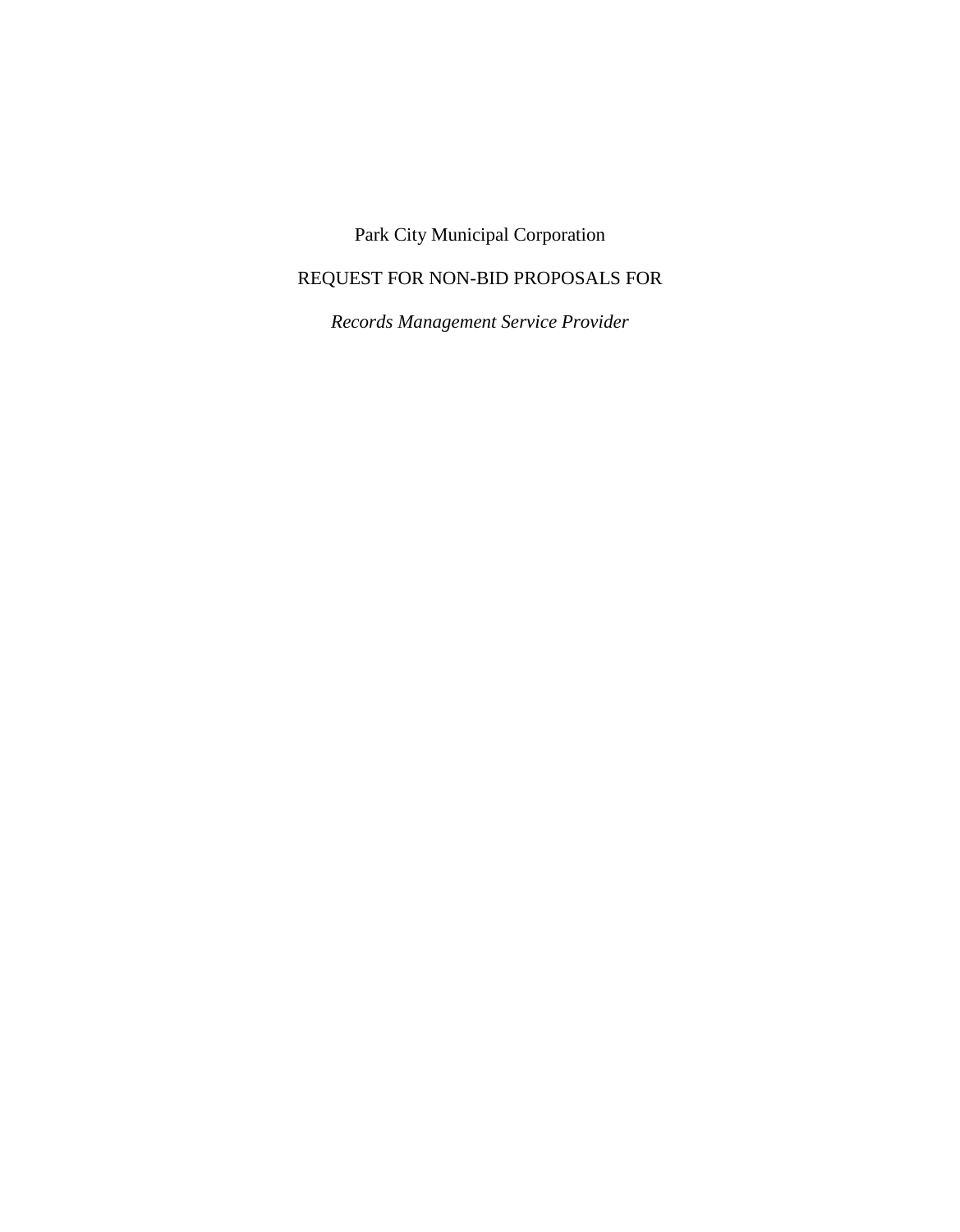# Park City Municipal Corporation

# REQUEST FOR NON-BID PROPOSALS FOR

*Records Management Service Provider*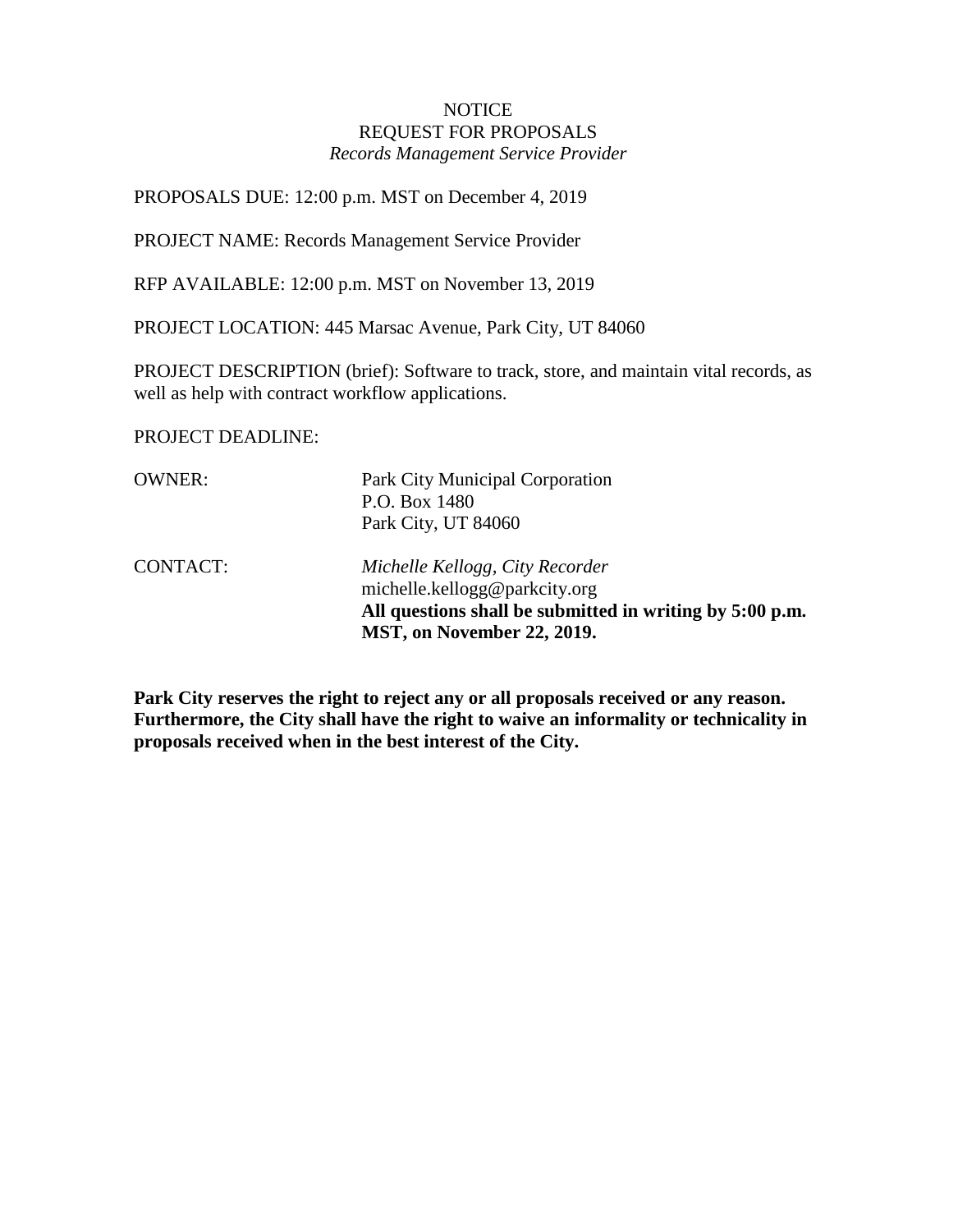#### **NOTICE** REQUEST FOR PROPOSALS *Records Management Service Provider*

PROPOSALS DUE: 12:00 p.m. MST on December 4, 2019

PROJECT NAME: Records Management Service Provider

RFP AVAILABLE: 12:00 p.m. MST on November 13, 2019

PROJECT LOCATION: 445 Marsac Avenue, Park City, UT 84060

PROJECT DESCRIPTION (brief): Software to track, store, and maintain vital records, as well as help with contract workflow applications.

PROJECT DEADLINE:

| <b>OWNER:</b>   | Park City Municipal Corporation<br>P.O. Box 1480<br>Park City, UT 84060                                                                                    |
|-----------------|------------------------------------------------------------------------------------------------------------------------------------------------------------|
| <b>CONTACT:</b> | Michelle Kellogg, City Recorder<br>michelle.kellogg@parkcity.org<br>All questions shall be submitted in writing by 5:00 p.m.<br>MST, on November 22, 2019. |

**Park City reserves the right to reject any or all proposals received or any reason. Furthermore, the City shall have the right to waive an informality or technicality in proposals received when in the best interest of the City.**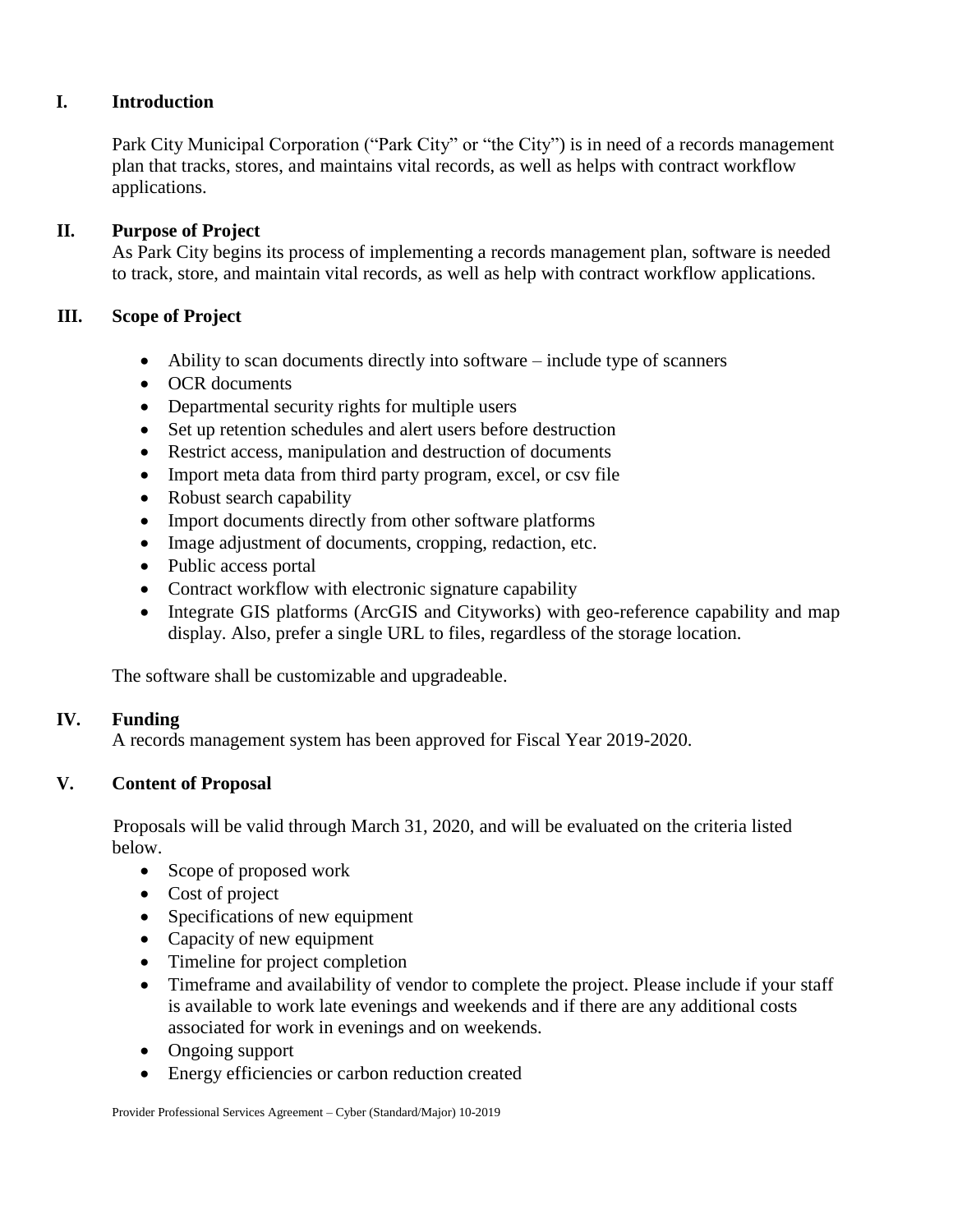### **I. Introduction**

Park City Municipal Corporation ("Park City" or "the City") is in need of a records management plan that tracks, stores, and maintains vital records, as well as helps with contract workflow applications.

### **II. Purpose of Project**

As Park City begins its process of implementing a records management plan, software is needed to track, store, and maintain vital records, as well as help with contract workflow applications.

### **III. Scope of Project**

- Ability to scan documents directly into software include type of scanners
- OCR documents
- Departmental security rights for multiple users
- Set up retention schedules and alert users before destruction
- Restrict access, manipulation and destruction of documents
- Import meta data from third party program, excel, or csv file
- Robust search capability
- Import documents directly from other software platforms
- Image adjustment of documents, cropping, redaction, etc.
- Public access portal
- Contract workflow with electronic signature capability
- Integrate GIS platforms (ArcGIS and Cityworks) with geo-reference capability and map display. Also, prefer a single URL to files, regardless of the storage location.

The software shall be customizable and upgradeable.

### **IV. Funding**

A records management system has been approved for Fiscal Year 2019-2020.

### **V. Content of Proposal**

Proposals will be valid through March 31, 2020, and will be evaluated on the criteria listed below.

- Scope of proposed work
- Cost of project
- Specifications of new equipment
- Capacity of new equipment
- Timeline for project completion
- Timeframe and availability of vendor to complete the project. Please include if your staff is available to work late evenings and weekends and if there are any additional costs associated for work in evenings and on weekends.
- Ongoing support
- Energy efficiencies or carbon reduction created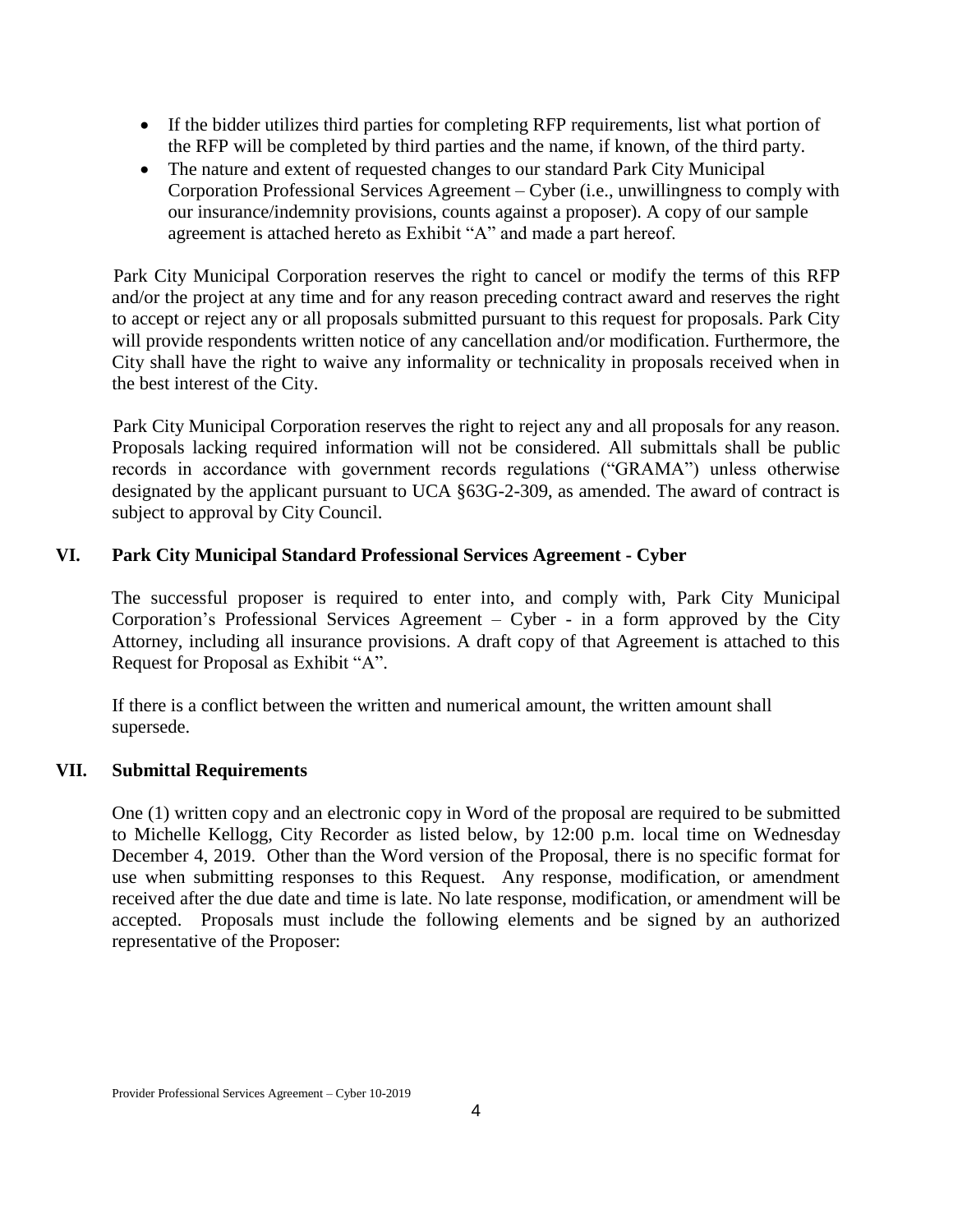- If the bidder utilizes third parties for completing RFP requirements, list what portion of the RFP will be completed by third parties and the name, if known, of the third party.
- The nature and extent of requested changes to our standard Park City Municipal Corporation Professional Services Agreement – Cyber (i.e., unwillingness to comply with our insurance/indemnity provisions, counts against a proposer). A copy of our sample agreement is attached hereto as Exhibit "A" and made a part hereof.

Park City Municipal Corporation reserves the right to cancel or modify the terms of this RFP and/or the project at any time and for any reason preceding contract award and reserves the right to accept or reject any or all proposals submitted pursuant to this request for proposals. Park City will provide respondents written notice of any cancellation and/or modification. Furthermore, the City shall have the right to waive any informality or technicality in proposals received when in the best interest of the City.

Park City Municipal Corporation reserves the right to reject any and all proposals for any reason. Proposals lacking required information will not be considered. All submittals shall be public records in accordance with government records regulations ("GRAMA") unless otherwise designated by the applicant pursuant to UCA §63G-2-309, as amended. The award of contract is subject to approval by City Council.

#### **VI. Park City Municipal Standard Professional Services Agreement - Cyber**

The successful proposer is required to enter into, and comply with, Park City Municipal Corporation's Professional Services Agreement – Cyber - in a form approved by the City Attorney, including all insurance provisions. A draft copy of that Agreement is attached to this Request for Proposal as Exhibit "A".

If there is a conflict between the written and numerical amount, the written amount shall supersede.

#### **VII. Submittal Requirements**

One (1) written copy and an electronic copy in Word of the proposal are required to be submitted to Michelle Kellogg, City Recorder as listed below, by 12:00 p.m. local time on Wednesday December 4, 2019. Other than the Word version of the Proposal, there is no specific format for use when submitting responses to this Request. Any response, modification, or amendment received after the due date and time is late. No late response, modification, or amendment will be accepted. Proposals must include the following elements and be signed by an authorized representative of the Proposer: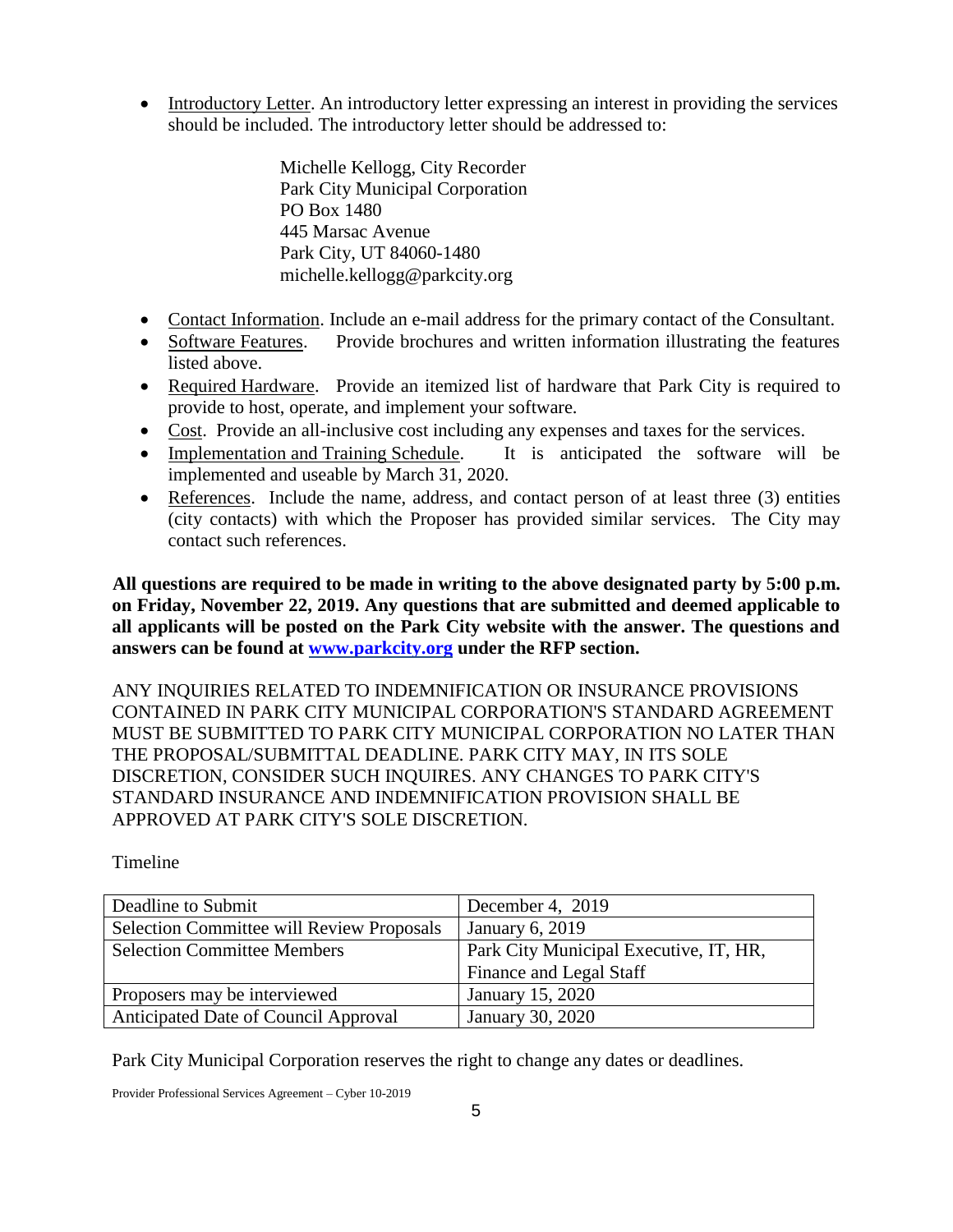Introductory Letter. An introductory letter expressing an interest in providing the services should be included. The introductory letter should be addressed to:

> Michelle Kellogg, City Recorder Park City Municipal Corporation PO Box 1480 445 Marsac Avenue Park City, UT 84060-1480 michelle.kellogg@parkcity.org

- Contact Information. Include an e-mail address for the primary contact of the Consultant.
- Software Features. Provide brochures and written information illustrating the features listed above.
- Required Hardware. Provide an itemized list of hardware that Park City is required to provide to host, operate, and implement your software.
- Cost. Provide an all-inclusive cost including any expenses and taxes for the services.
- Implementation and Training Schedule. It is anticipated the software will be implemented and useable by March 31, 2020.
- References. Include the name, address, and contact person of at least three (3) entities (city contacts) with which the Proposer has provided similar services. The City may contact such references.

**All questions are required to be made in writing to the above designated party by 5:00 p.m. on Friday, November 22, 2019. Any questions that are submitted and deemed applicable to all applicants will be posted on the Park City website with the answer. The questions and answers can be found at [www.parkcity.org](http://www.parkcity.org/) under the RFP section.** 

ANY INQUIRIES RELATED TO INDEMNIFICATION OR INSURANCE PROVISIONS CONTAINED IN PARK CITY MUNICIPAL CORPORATION'S STANDARD AGREEMENT MUST BE SUBMITTED TO PARK CITY MUNICIPAL CORPORATION NO LATER THAN THE PROPOSAL/SUBMITTAL DEADLINE. PARK CITY MAY, IN ITS SOLE DISCRETION, CONSIDER SUCH INQUIRES. ANY CHANGES TO PARK CITY'S STANDARD INSURANCE AND INDEMNIFICATION PROVISION SHALL BE APPROVED AT PARK CITY'S SOLE DISCRETION.

Timeline

| Deadline to Submit                               | December 4, 2019                       |
|--------------------------------------------------|----------------------------------------|
| <b>Selection Committee will Review Proposals</b> | <b>January 6, 2019</b>                 |
| <b>Selection Committee Members</b>               | Park City Municipal Executive, IT, HR, |
|                                                  | Finance and Legal Staff                |
| Proposers may be interviewed                     | January 15, 2020                       |
| Anticipated Date of Council Approval             | January 30, 2020                       |

Park City Municipal Corporation reserves the right to change any dates or deadlines.

Provider Professional Services Agreement – Cyber 10-2019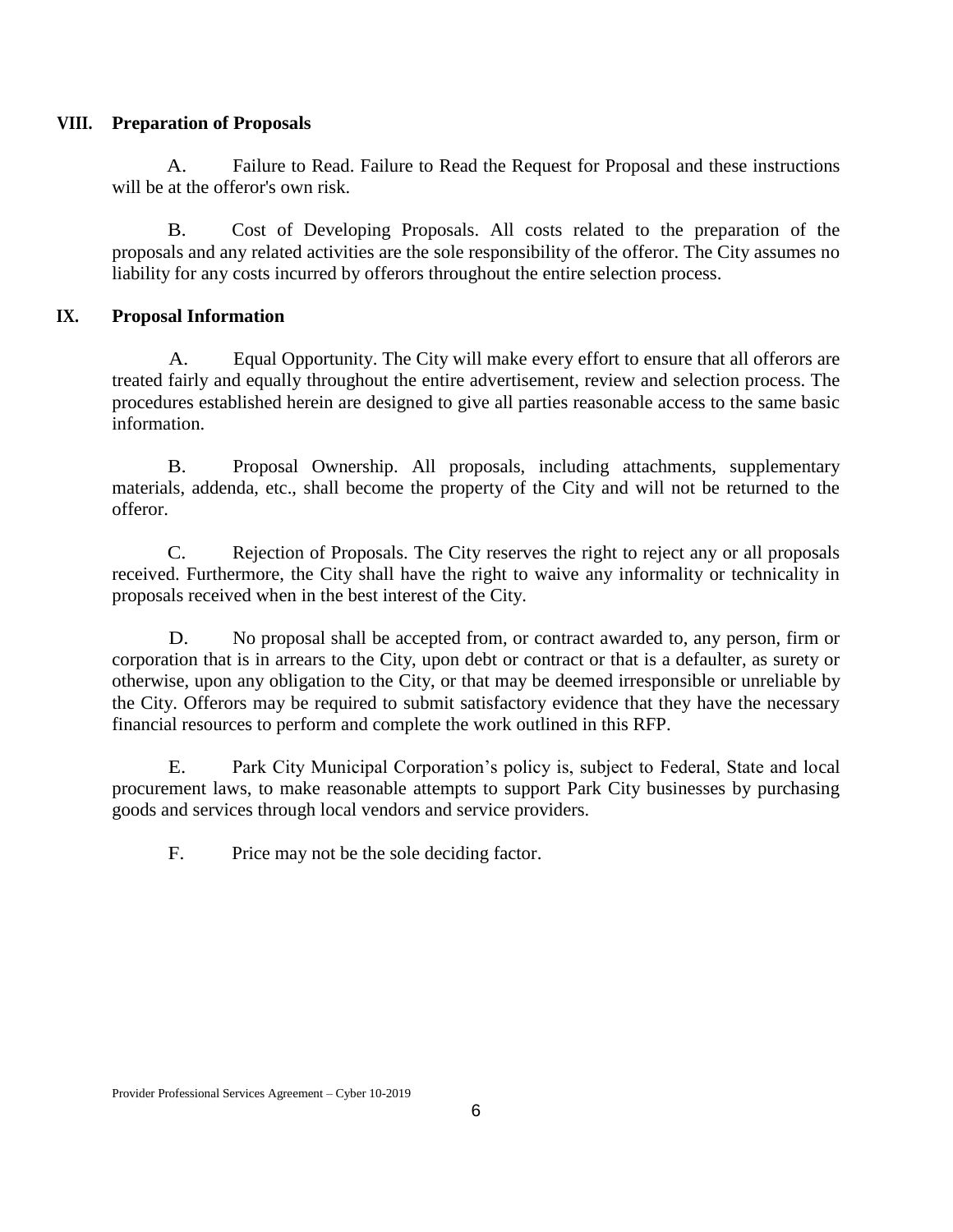### **VIII. Preparation of Proposals**

A. Failure to Read. Failure to Read the Request for Proposal and these instructions will be at the offeror's own risk.

B. Cost of Developing Proposals. All costs related to the preparation of the proposals and any related activities are the sole responsibility of the offeror. The City assumes no liability for any costs incurred by offerors throughout the entire selection process.

### **IX. Proposal Information**

A. Equal Opportunity. The City will make every effort to ensure that all offerors are treated fairly and equally throughout the entire advertisement, review and selection process. The procedures established herein are designed to give all parties reasonable access to the same basic information.

B. Proposal Ownership. All proposals, including attachments, supplementary materials, addenda, etc., shall become the property of the City and will not be returned to the offeror.

C. Rejection of Proposals. The City reserves the right to reject any or all proposals received. Furthermore, the City shall have the right to waive any informality or technicality in proposals received when in the best interest of the City.

D. No proposal shall be accepted from, or contract awarded to, any person, firm or corporation that is in arrears to the City, upon debt or contract or that is a defaulter, as surety or otherwise, upon any obligation to the City, or that may be deemed irresponsible or unreliable by the City. Offerors may be required to submit satisfactory evidence that they have the necessary financial resources to perform and complete the work outlined in this RFP.

E. Park City Municipal Corporation's policy is, subject to Federal, State and local procurement laws, to make reasonable attempts to support Park City businesses by purchasing goods and services through local vendors and service providers.

F. Price may not be the sole deciding factor.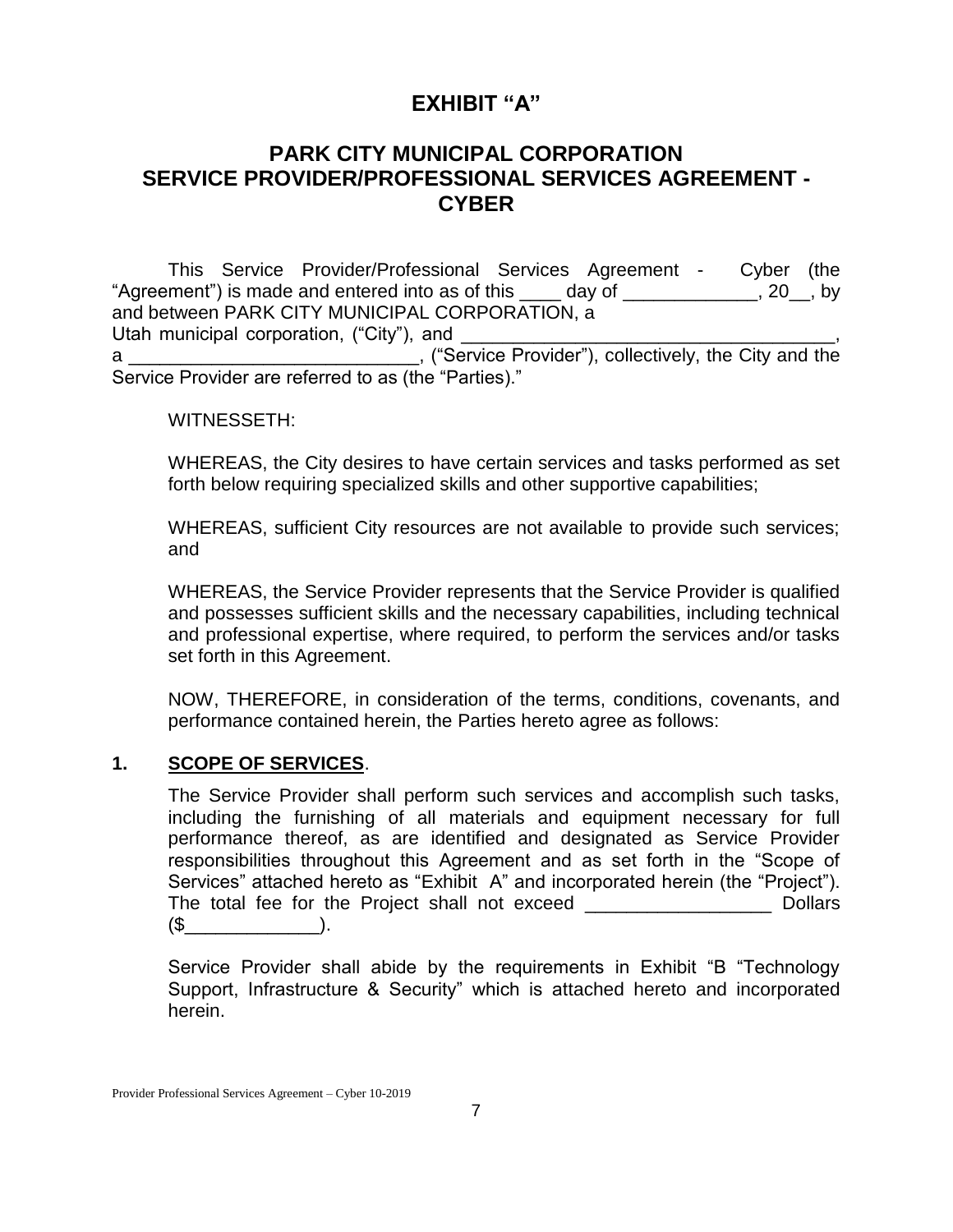# **EXHIBIT "A"**

# **PARK CITY MUNICIPAL CORPORATION SERVICE PROVIDER/PROFESSIONAL SERVICES AGREEMENT - CYBER**

This Service Provider/Professional Services Agreement - Cyber (the "Agreement") is made and entered into as of this \_\_\_\_ day of \_\_\_\_\_\_\_\_\_\_\_\_, 20\_, by and between PARK CITY MUNICIPAL CORPORATION, a Utah municipal corporation, ("City"), and a \_\_\_\_\_\_\_\_\_\_\_\_\_\_\_\_\_\_\_\_\_\_\_\_\_\_\_\_\_, ("Service Provider"), collectively, the City and the Service Provider are referred to as (the "Parties)."

#### WITNESSETH:

WHEREAS, the City desires to have certain services and tasks performed as set forth below requiring specialized skills and other supportive capabilities;

WHEREAS, sufficient City resources are not available to provide such services; and

WHEREAS, the Service Provider represents that the Service Provider is qualified and possesses sufficient skills and the necessary capabilities, including technical and professional expertise, where required, to perform the services and/or tasks set forth in this Agreement.

NOW, THEREFORE, in consideration of the terms, conditions, covenants, and performance contained herein, the Parties hereto agree as follows:

### **1. SCOPE OF SERVICES**.

The Service Provider shall perform such services and accomplish such tasks, including the furnishing of all materials and equipment necessary for full performance thereof, as are identified and designated as Service Provider responsibilities throughout this Agreement and as set forth in the "Scope of Services" attached hereto as "Exhibit A" and incorporated herein (the "Project"). The total fee for the Project shall not exceed \_\_\_\_\_\_\_\_\_\_\_\_\_\_\_\_\_\_ Dollars  $(\mathbb{S} \qquad \qquad ).$ 

Service Provider shall abide by the requirements in Exhibit "B "Technology Support, Infrastructure & Security" which is attached hereto and incorporated herein.

Provider Professional Services Agreement – Cyber 10-2019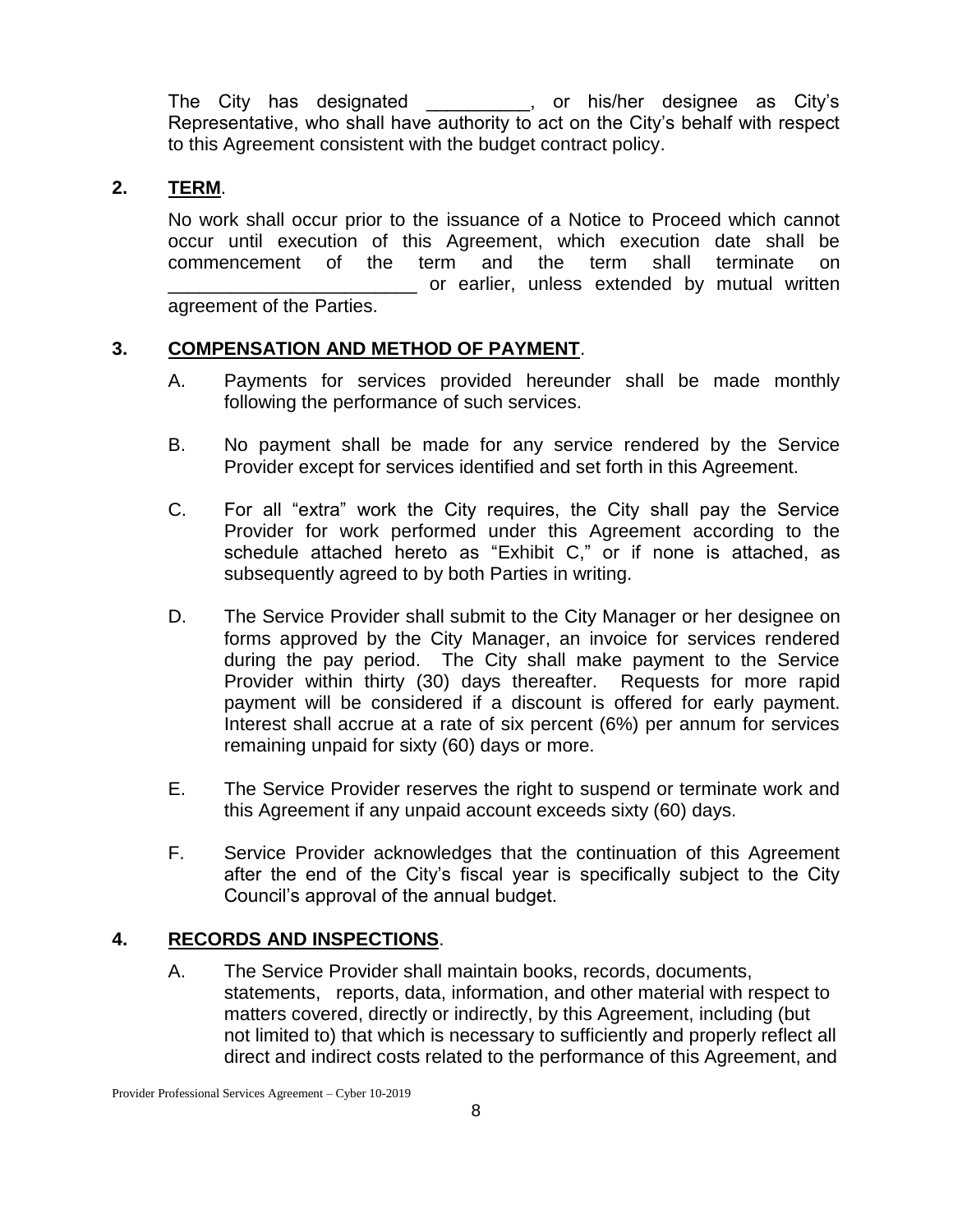The City has designated \_\_\_\_\_\_\_\_\_\_, or his/her designee as City's Representative, who shall have authority to act on the City's behalf with respect to this Agreement consistent with the budget contract policy.

### **2. TERM**.

No work shall occur prior to the issuance of a Notice to Proceed which cannot occur until execution of this Agreement, which execution date shall be commencement of the term and the term shall terminate on or earlier, unless extended by mutual written agreement of the Parties.

### **3. COMPENSATION AND METHOD OF PAYMENT**.

- A. Payments for services provided hereunder shall be made monthly following the performance of such services.
- B. No payment shall be made for any service rendered by the Service Provider except for services identified and set forth in this Agreement.
- C. For all "extra" work the City requires, the City shall pay the Service Provider for work performed under this Agreement according to the schedule attached hereto as "Exhibit C," or if none is attached, as subsequently agreed to by both Parties in writing.
- D. The Service Provider shall submit to the City Manager or her designee on forms approved by the City Manager, an invoice for services rendered during the pay period. The City shall make payment to the Service Provider within thirty (30) days thereafter. Requests for more rapid payment will be considered if a discount is offered for early payment. Interest shall accrue at a rate of six percent (6%) per annum for services remaining unpaid for sixty (60) days or more.
- E. The Service Provider reserves the right to suspend or terminate work and this Agreement if any unpaid account exceeds sixty (60) days.
- F. Service Provider acknowledges that the continuation of this Agreement after the end of the City's fiscal year is specifically subject to the City Council's approval of the annual budget.

#### **4. RECORDS AND INSPECTIONS**.

A. The Service Provider shall maintain books, records, documents, statements, reports, data, information, and other material with respect to matters covered, directly or indirectly, by this Agreement, including (but not limited to) that which is necessary to sufficiently and properly reflect all direct and indirect costs related to the performance of this Agreement, and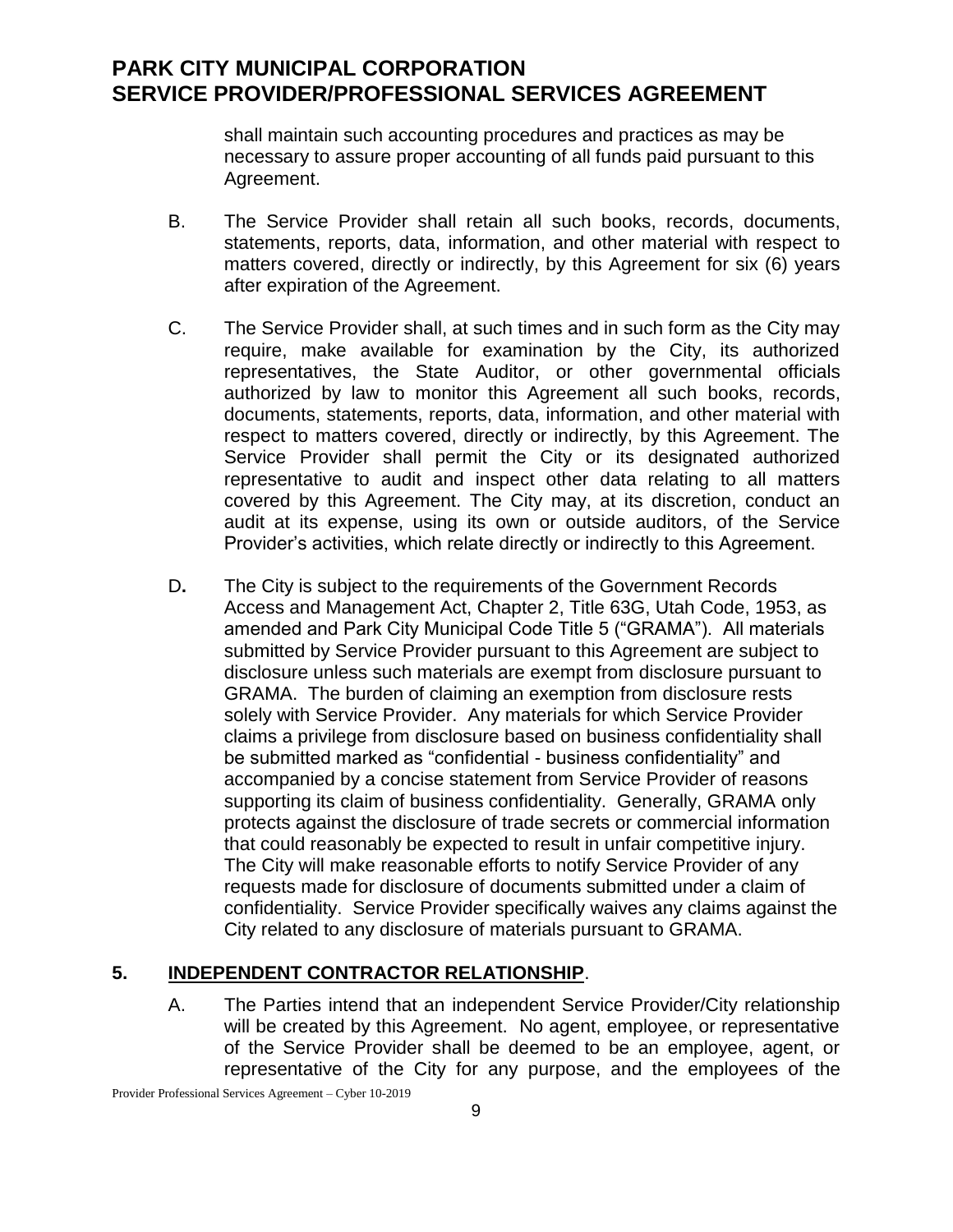shall maintain such accounting procedures and practices as may be necessary to assure proper accounting of all funds paid pursuant to this Agreement.

- B. The Service Provider shall retain all such books, records, documents, statements, reports, data, information, and other material with respect to matters covered, directly or indirectly, by this Agreement for six (6) years after expiration of the Agreement.
- C. The Service Provider shall, at such times and in such form as the City may require, make available for examination by the City, its authorized representatives, the State Auditor, or other governmental officials authorized by law to monitor this Agreement all such books, records, documents, statements, reports, data, information, and other material with respect to matters covered, directly or indirectly, by this Agreement. The Service Provider shall permit the City or its designated authorized representative to audit and inspect other data relating to all matters covered by this Agreement. The City may, at its discretion, conduct an audit at its expense, using its own or outside auditors, of the Service Provider's activities, which relate directly or indirectly to this Agreement.
- D**.** The City is subject to the requirements of the Government Records Access and Management Act, Chapter 2, Title 63G, Utah Code, 1953, as amended and Park City Municipal Code Title 5 ("GRAMA"). All materials submitted by Service Provider pursuant to this Agreement are subject to disclosure unless such materials are exempt from disclosure pursuant to GRAMA. The burden of claiming an exemption from disclosure rests solely with Service Provider. Any materials for which Service Provider claims a privilege from disclosure based on business confidentiality shall be submitted marked as "confidential - business confidentiality" and accompanied by a concise statement from Service Provider of reasons supporting its claim of business confidentiality. Generally, GRAMA only protects against the disclosure of trade secrets or commercial information that could reasonably be expected to result in unfair competitive injury. The City will make reasonable efforts to notify Service Provider of any requests made for disclosure of documents submitted under a claim of confidentiality. Service Provider specifically waives any claims against the City related to any disclosure of materials pursuant to GRAMA.

### **5. INDEPENDENT CONTRACTOR RELATIONSHIP**.

A. The Parties intend that an independent Service Provider/City relationship will be created by this Agreement. No agent, employee, or representative of the Service Provider shall be deemed to be an employee, agent, or representative of the City for any purpose, and the employees of the

Provider Professional Services Agreement – Cyber 10-2019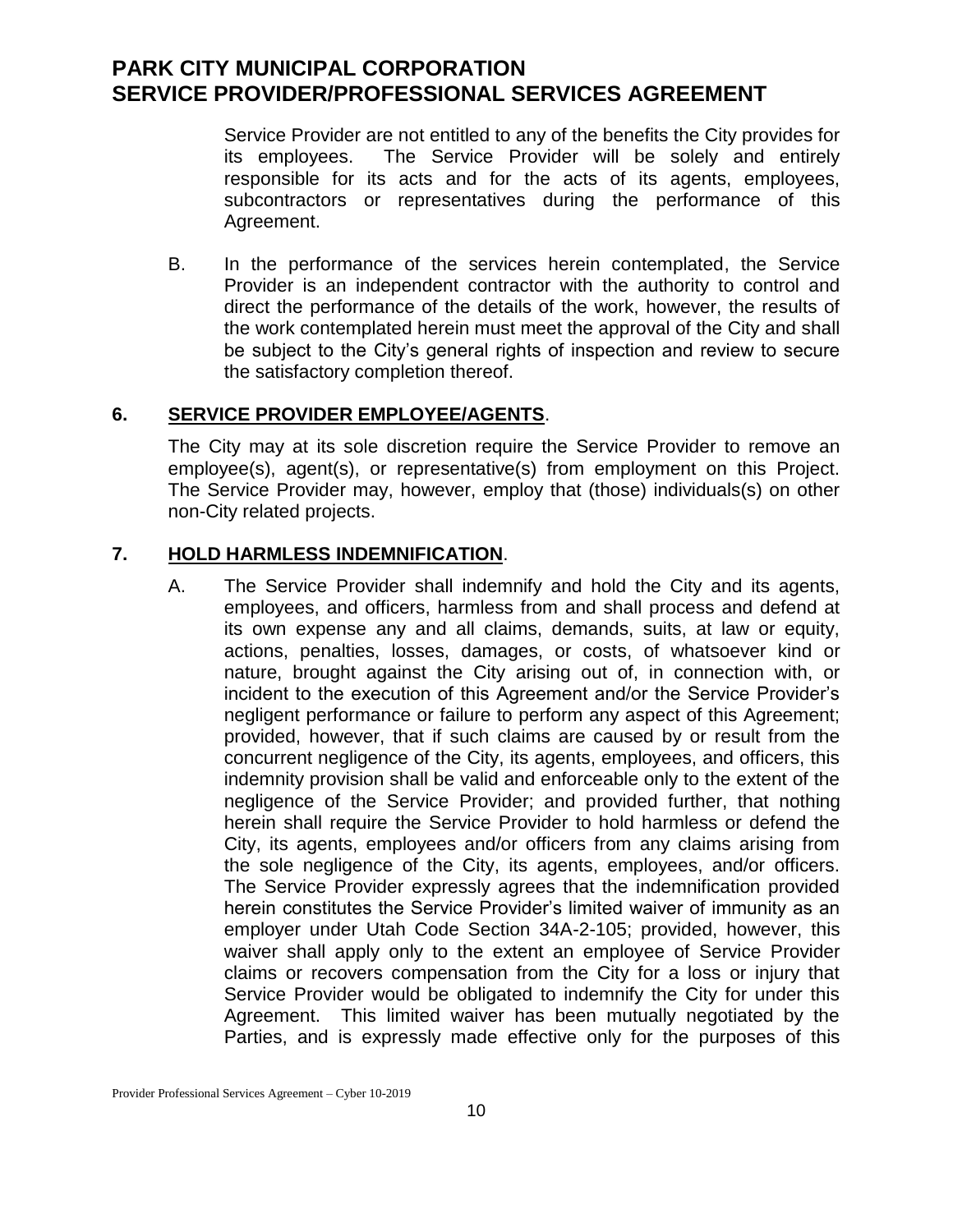Service Provider are not entitled to any of the benefits the City provides for its employees. The Service Provider will be solely and entirely responsible for its acts and for the acts of its agents, employees, subcontractors or representatives during the performance of this Agreement.

B. In the performance of the services herein contemplated, the Service Provider is an independent contractor with the authority to control and direct the performance of the details of the work, however, the results of the work contemplated herein must meet the approval of the City and shall be subject to the City's general rights of inspection and review to secure the satisfactory completion thereof.

### **6. SERVICE PROVIDER EMPLOYEE/AGENTS**.

The City may at its sole discretion require the Service Provider to remove an employee(s), agent(s), or representative(s) from employment on this Project. The Service Provider may, however, employ that (those) individuals(s) on other non-City related projects.

### **7. HOLD HARMLESS INDEMNIFICATION**.

A. The Service Provider shall indemnify and hold the City and its agents, employees, and officers, harmless from and shall process and defend at its own expense any and all claims, demands, suits, at law or equity, actions, penalties, losses, damages, or costs, of whatsoever kind or nature, brought against the City arising out of, in connection with, or incident to the execution of this Agreement and/or the Service Provider's negligent performance or failure to perform any aspect of this Agreement; provided, however, that if such claims are caused by or result from the concurrent negligence of the City, its agents, employees, and officers, this indemnity provision shall be valid and enforceable only to the extent of the negligence of the Service Provider; and provided further, that nothing herein shall require the Service Provider to hold harmless or defend the City, its agents, employees and/or officers from any claims arising from the sole negligence of the City, its agents, employees, and/or officers. The Service Provider expressly agrees that the indemnification provided herein constitutes the Service Provider's limited waiver of immunity as an employer under Utah Code Section 34A-2-105; provided, however, this waiver shall apply only to the extent an employee of Service Provider claims or recovers compensation from the City for a loss or injury that Service Provider would be obligated to indemnify the City for under this Agreement. This limited waiver has been mutually negotiated by the Parties, and is expressly made effective only for the purposes of this

Provider Professional Services Agreement – Cyber 10-2019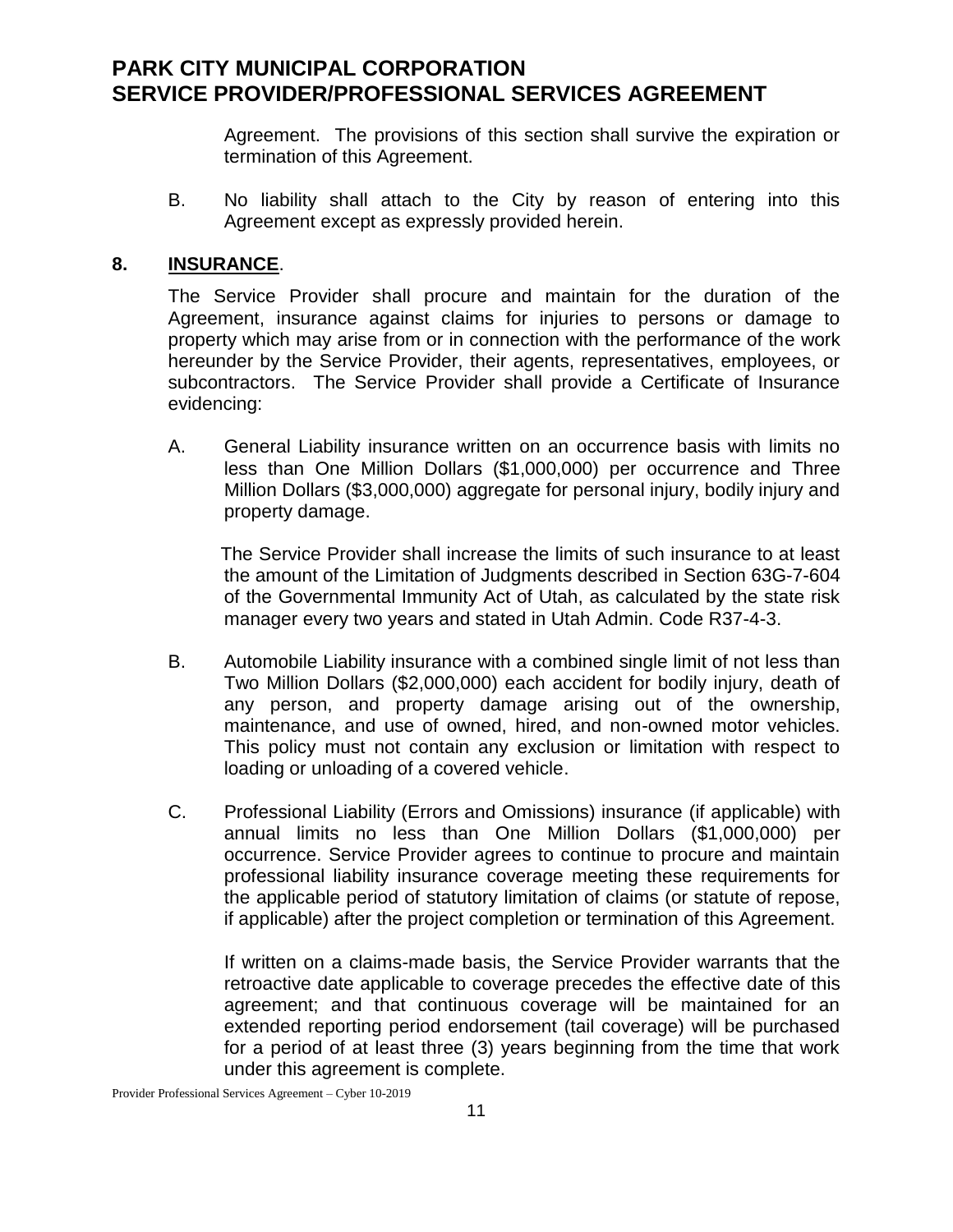Agreement. The provisions of this section shall survive the expiration or termination of this Agreement.

B. No liability shall attach to the City by reason of entering into this Agreement except as expressly provided herein.

### **8. INSURANCE**.

The Service Provider shall procure and maintain for the duration of the Agreement, insurance against claims for injuries to persons or damage to property which may arise from or in connection with the performance of the work hereunder by the Service Provider, their agents, representatives, employees, or subcontractors. The Service Provider shall provide a Certificate of Insurance evidencing:

A. General Liability insurance written on an occurrence basis with limits no less than One Million Dollars (\$1,000,000) per occurrence and Three Million Dollars (\$3,000,000) aggregate for personal injury, bodily injury and property damage.

 The Service Provider shall increase the limits of such insurance to at least the amount of the Limitation of Judgments described in Section 63G-7-604 of the Governmental Immunity Act of Utah, as calculated by the state risk manager every two years and stated in Utah Admin. Code R37-4-3.

- B. Automobile Liability insurance with a combined single limit of not less than Two Million Dollars (\$2,000,000) each accident for bodily injury, death of any person, and property damage arising out of the ownership, maintenance, and use of owned, hired, and non-owned motor vehicles. This policy must not contain any exclusion or limitation with respect to loading or unloading of a covered vehicle.
- C. Professional Liability (Errors and Omissions) insurance (if applicable) with annual limits no less than One Million Dollars (\$1,000,000) per occurrence. Service Provider agrees to continue to procure and maintain professional liability insurance coverage meeting these requirements for the applicable period of statutory limitation of claims (or statute of repose, if applicable) after the project completion or termination of this Agreement.

If written on a claims-made basis, the Service Provider warrants that the retroactive date applicable to coverage precedes the effective date of this agreement; and that continuous coverage will be maintained for an extended reporting period endorsement (tail coverage) will be purchased for a period of at least three (3) years beginning from the time that work under this agreement is complete.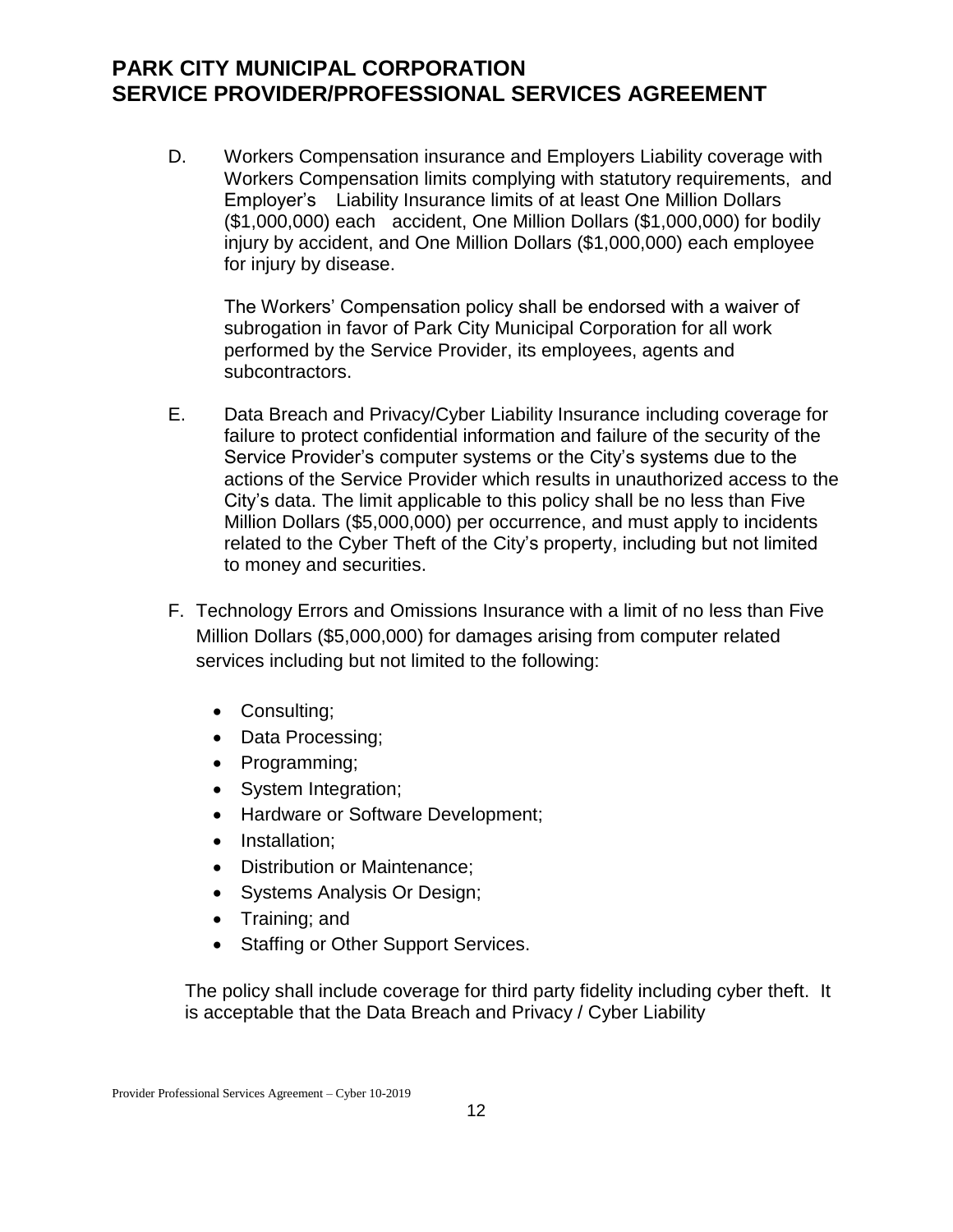D. Workers Compensation insurance and Employers Liability coverage with Workers Compensation limits complying with statutory requirements, and Employer's Liability Insurance limits of at least One Million Dollars (\$1,000,000) each accident, One Million Dollars (\$1,000,000) for bodily injury by accident, and One Million Dollars (\$1,000,000) each employee for injury by disease.

The Workers' Compensation policy shall be endorsed with a waiver of subrogation in favor of Park City Municipal Corporation for all work performed by the Service Provider, its employees, agents and subcontractors.

- E. Data Breach and Privacy/Cyber Liability Insurance including coverage for failure to protect confidential information and failure of the security of the Service Provider's computer systems or the City's systems due to the actions of the Service Provider which results in unauthorized access to the City's data. The limit applicable to this policy shall be no less than Five Million Dollars (\$5,000,000) per occurrence, and must apply to incidents related to the Cyber Theft of the City's property, including but not limited to money and securities.
- F. Technology Errors and Omissions Insurance with a limit of no less than Five Million Dollars (\$5,000,000) for damages arising from computer related services including but not limited to the following:
	- Consulting;
	- Data Processing;
	- Programming;
	- System Integration;
	- Hardware or Software Development;
	- Installation:
	- Distribution or Maintenance:
	- Systems Analysis Or Design;
	- Training; and
	- Staffing or Other Support Services.

The policy shall include coverage for third party fidelity including cyber theft. It is acceptable that the Data Breach and Privacy / Cyber Liability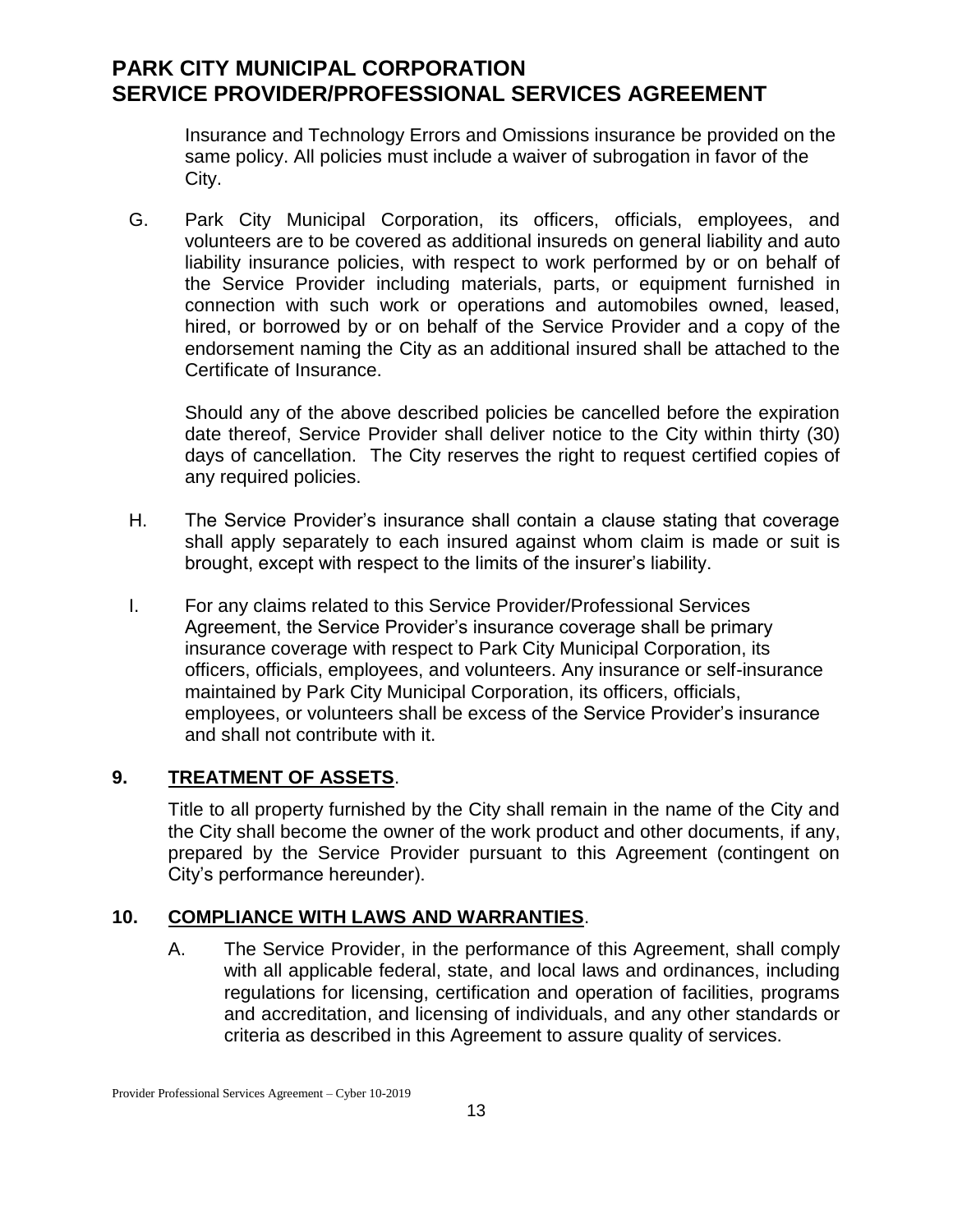Insurance and Technology Errors and Omissions insurance be provided on the same policy. All policies must include a waiver of subrogation in favor of the City.

G. Park City Municipal Corporation, its officers, officials, employees, and volunteers are to be covered as additional insureds on general liability and auto liability insurance policies, with respect to work performed by or on behalf of the Service Provider including materials, parts, or equipment furnished in connection with such work or operations and automobiles owned, leased, hired, or borrowed by or on behalf of the Service Provider and a copy of the endorsement naming the City as an additional insured shall be attached to the Certificate of Insurance.

Should any of the above described policies be cancelled before the expiration date thereof, Service Provider shall deliver notice to the City within thirty (30) days of cancellation. The City reserves the right to request certified copies of any required policies.

- H. The Service Provider's insurance shall contain a clause stating that coverage shall apply separately to each insured against whom claim is made or suit is brought, except with respect to the limits of the insurer's liability.
- I. For any claims related to this Service Provider/Professional Services Agreement, the Service Provider's insurance coverage shall be primary insurance coverage with respect to Park City Municipal Corporation, its officers, officials, employees, and volunteers. Any insurance or self-insurance maintained by Park City Municipal Corporation, its officers, officials, employees, or volunteers shall be excess of the Service Provider's insurance and shall not contribute with it.

# **9. TREATMENT OF ASSETS**.

Title to all property furnished by the City shall remain in the name of the City and the City shall become the owner of the work product and other documents, if any, prepared by the Service Provider pursuant to this Agreement (contingent on City's performance hereunder).

### **10. COMPLIANCE WITH LAWS AND WARRANTIES**.

A. The Service Provider, in the performance of this Agreement, shall comply with all applicable federal, state, and local laws and ordinances, including regulations for licensing, certification and operation of facilities, programs and accreditation, and licensing of individuals, and any other standards or criteria as described in this Agreement to assure quality of services.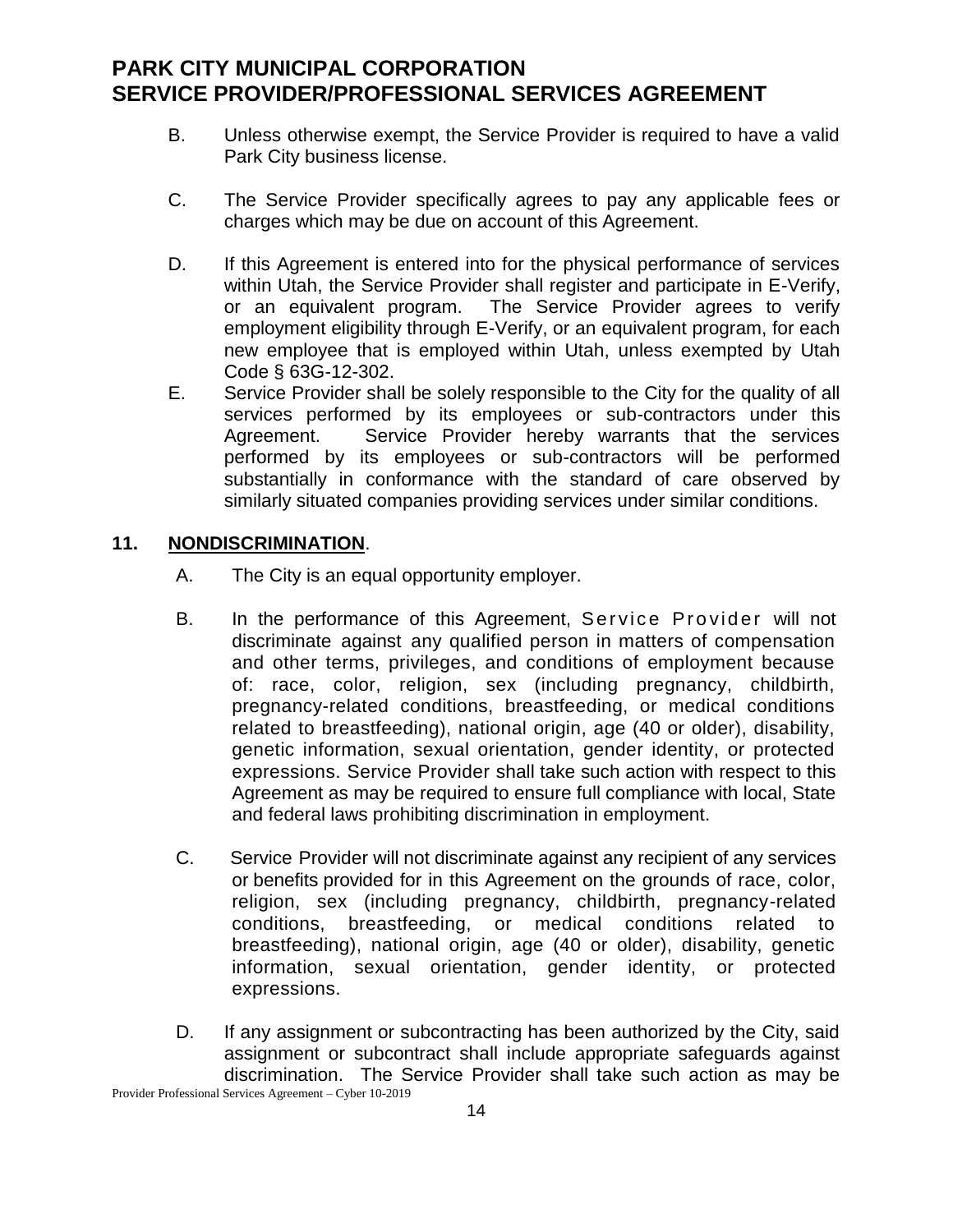- B. Unless otherwise exempt, the Service Provider is required to have a valid Park City business license.
- C. The Service Provider specifically agrees to pay any applicable fees or charges which may be due on account of this Agreement.
- D. If this Agreement is entered into for the physical performance of services within Utah, the Service Provider shall register and participate in E-Verify, or an equivalent program. The Service Provider agrees to verify employment eligibility through E-Verify, or an equivalent program, for each new employee that is employed within Utah, unless exempted by Utah Code § 63G-12-302.
- E. Service Provider shall be solely responsible to the City for the quality of all services performed by its employees or sub-contractors under this Agreement. Service Provider hereby warrants that the services performed by its employees or sub-contractors will be performed substantially in conformance with the standard of care observed by similarly situated companies providing services under similar conditions.

### **11. NONDISCRIMINATION**.

- A. The City is an equal opportunity employer.
- B. In the performance of this Agreement, Service Provider will not discriminate against any qualified person in matters of compensation and other terms, privileges, and conditions of employment because of: race, color, religion, sex (including pregnancy, childbirth, pregnancy-related conditions, breastfeeding, or medical conditions related to breastfeeding), national origin, age (40 or older), disability, genetic information, sexual orientation, gender identity, or protected expressions. Service Provider shall take such action with respect to this Agreement as may be required to ensure full compliance with local, State and federal laws prohibiting discrimination in employment.
- C. Service Provider will not discriminate against any recipient of any services or benefits provided for in this Agreement on the grounds of race, color, religion, sex (including pregnancy, childbirth, pregnancy-related conditions, breastfeeding, or medical conditions related to breastfeeding), national origin, age (40 or older), disability, genetic information, sexual orientation, gender identity, or protected expressions.
- D. If any assignment or subcontracting has been authorized by the City, said assignment or subcontract shall include appropriate safeguards against discrimination. The Service Provider shall take such action as may be

Provider Professional Services Agreement – Cyber 10-2019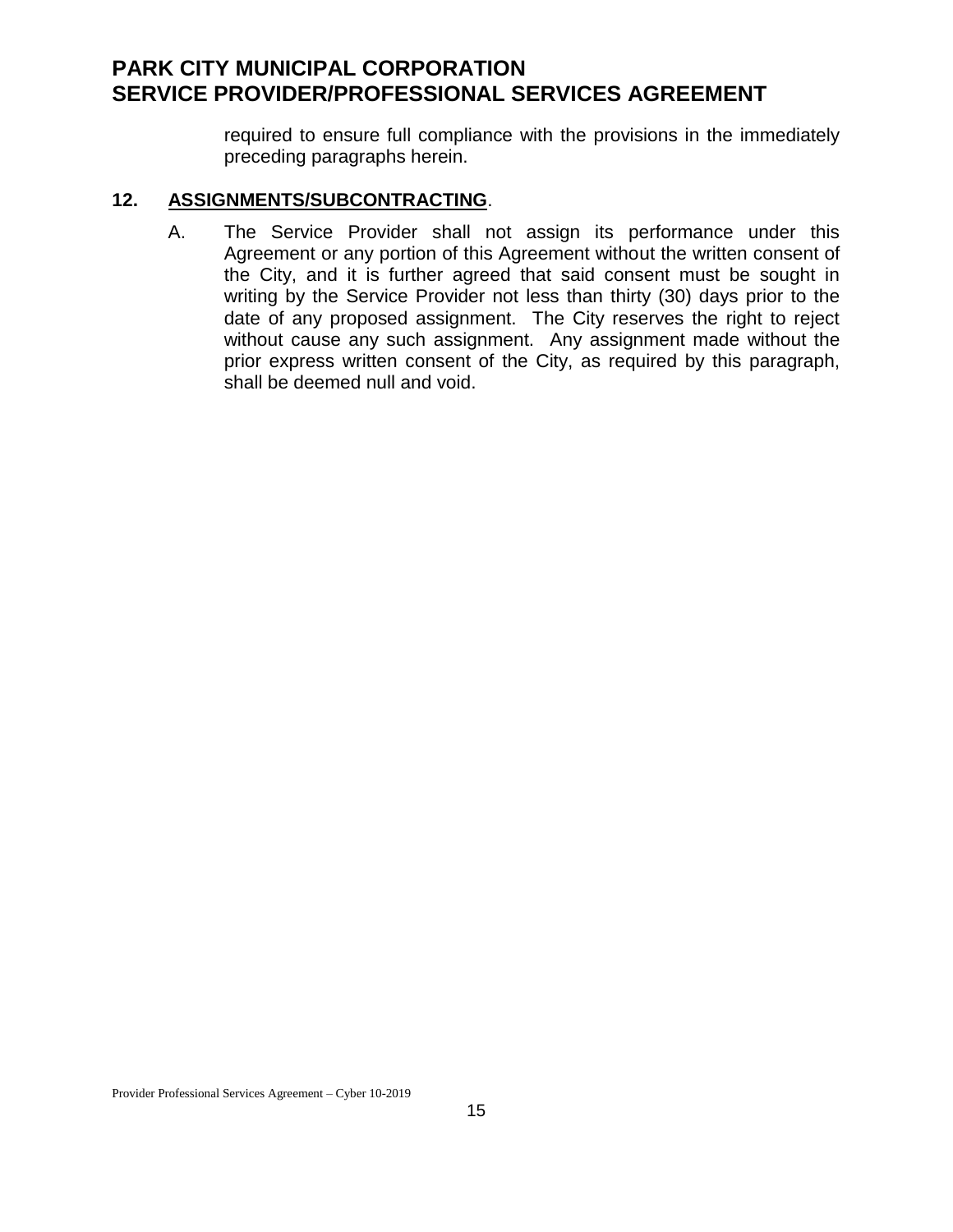required to ensure full compliance with the provisions in the immediately preceding paragraphs herein.

### **12. ASSIGNMENTS/SUBCONTRACTING**.

A. The Service Provider shall not assign its performance under this Agreement or any portion of this Agreement without the written consent of the City, and it is further agreed that said consent must be sought in writing by the Service Provider not less than thirty (30) days prior to the date of any proposed assignment. The City reserves the right to reject without cause any such assignment. Any assignment made without the prior express written consent of the City, as required by this paragraph, shall be deemed null and void.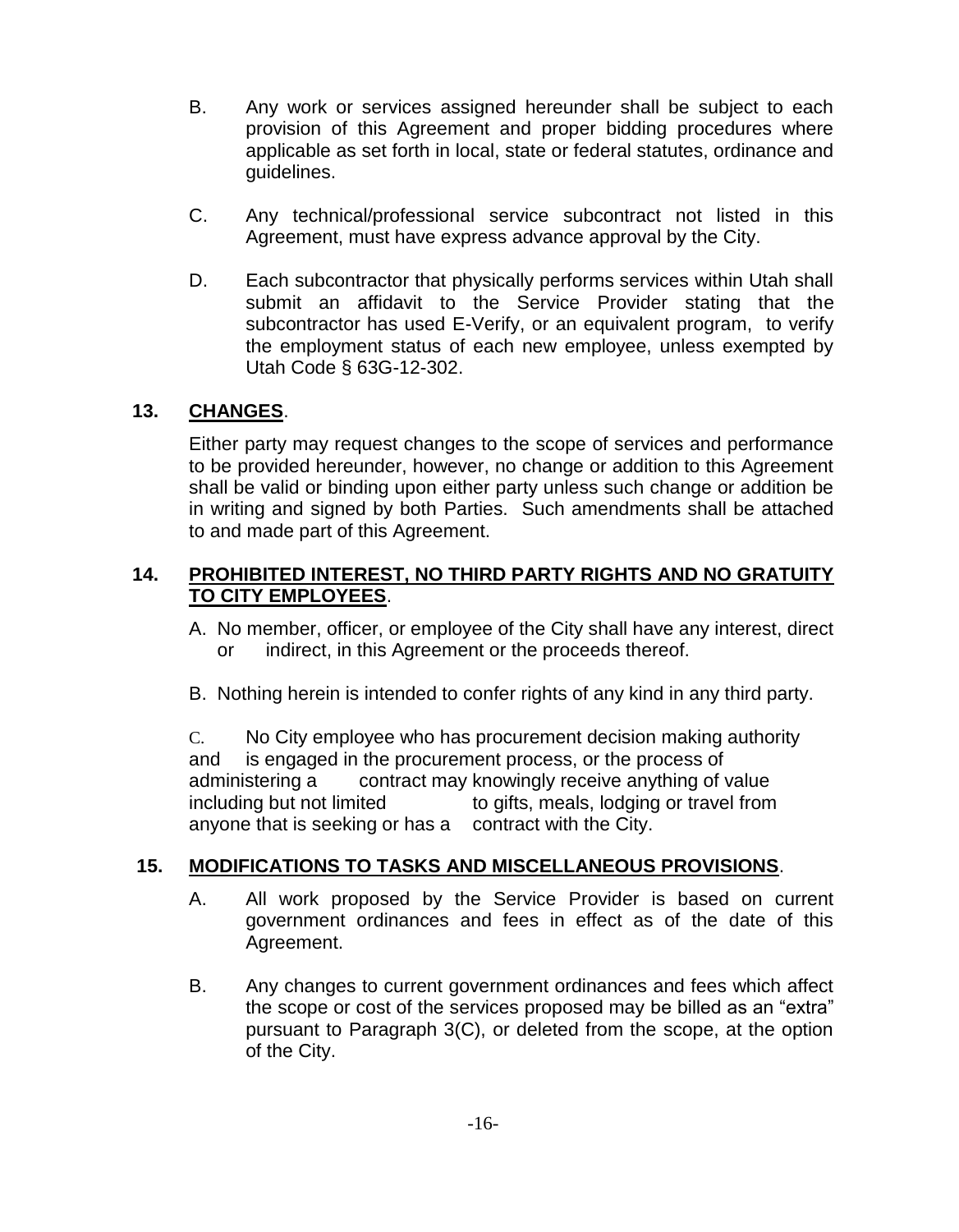- B. Any work or services assigned hereunder shall be subject to each provision of this Agreement and proper bidding procedures where applicable as set forth in local, state or federal statutes, ordinance and guidelines.
- C. Any technical/professional service subcontract not listed in this Agreement, must have express advance approval by the City.
- D. Each subcontractor that physically performs services within Utah shall submit an affidavit to the Service Provider stating that the subcontractor has used E-Verify, or an equivalent program, to verify the employment status of each new employee, unless exempted by Utah Code § 63G-12-302.

# **13. CHANGES**.

Either party may request changes to the scope of services and performance to be provided hereunder, however, no change or addition to this Agreement shall be valid or binding upon either party unless such change or addition be in writing and signed by both Parties. Such amendments shall be attached to and made part of this Agreement.

## **14. PROHIBITED INTEREST, NO THIRD PARTY RIGHTS AND NO GRATUITY TO CITY EMPLOYEES**.

- A. No member, officer, or employee of the City shall have any interest, direct or indirect, in this Agreement or the proceeds thereof.
- B. Nothing herein is intended to confer rights of any kind in any third party.

C. No City employee who has procurement decision making authority and is engaged in the procurement process, or the process of administering a contract may knowingly receive anything of value including but not limited to gifts, meals, lodging or travel from anyone that is seeking or has a contract with the City.

# **15. MODIFICATIONS TO TASKS AND MISCELLANEOUS PROVISIONS**.

- A. All work proposed by the Service Provider is based on current government ordinances and fees in effect as of the date of this Agreement.
- B. Any changes to current government ordinances and fees which affect the scope or cost of the services proposed may be billed as an "extra" pursuant to Paragraph 3(C), or deleted from the scope, at the option of the City.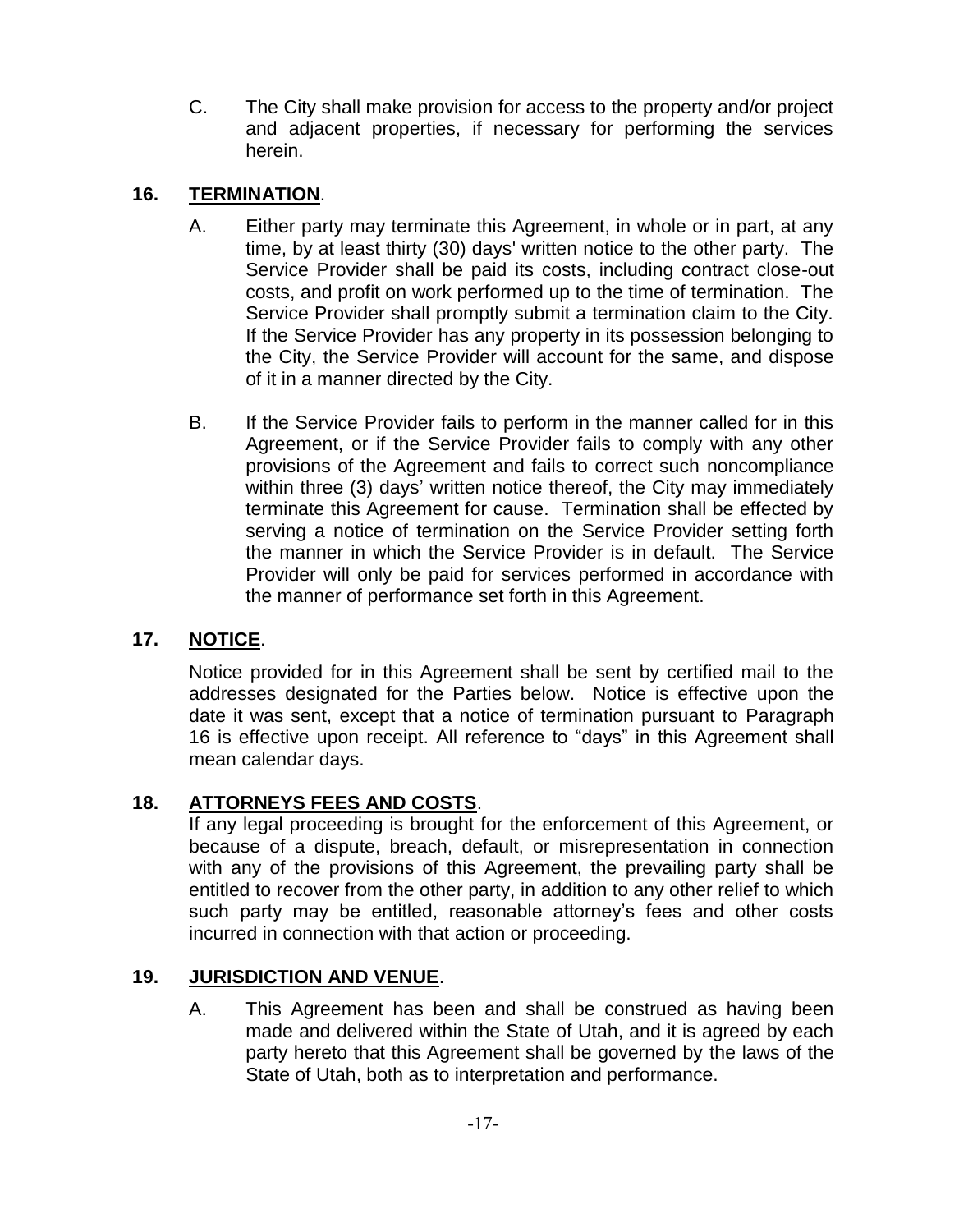C. The City shall make provision for access to the property and/or project and adjacent properties, if necessary for performing the services herein.

# **16. TERMINATION**.

- A. Either party may terminate this Agreement, in whole or in part, at any time, by at least thirty (30) days' written notice to the other party. The Service Provider shall be paid its costs, including contract close-out costs, and profit on work performed up to the time of termination. The Service Provider shall promptly submit a termination claim to the City. If the Service Provider has any property in its possession belonging to the City, the Service Provider will account for the same, and dispose of it in a manner directed by the City.
- B. If the Service Provider fails to perform in the manner called for in this Agreement, or if the Service Provider fails to comply with any other provisions of the Agreement and fails to correct such noncompliance within three (3) days' written notice thereof, the City may immediately terminate this Agreement for cause. Termination shall be effected by serving a notice of termination on the Service Provider setting forth the manner in which the Service Provider is in default. The Service Provider will only be paid for services performed in accordance with the manner of performance set forth in this Agreement.

# **17. NOTICE**.

Notice provided for in this Agreement shall be sent by certified mail to the addresses designated for the Parties below. Notice is effective upon the date it was sent, except that a notice of termination pursuant to Paragraph 16 is effective upon receipt. All reference to "days" in this Agreement shall mean calendar days.

# **18. ATTORNEYS FEES AND COSTS**.

If any legal proceeding is brought for the enforcement of this Agreement, or because of a dispute, breach, default, or misrepresentation in connection with any of the provisions of this Agreement, the prevailing party shall be entitled to recover from the other party, in addition to any other relief to which such party may be entitled, reasonable attorney's fees and other costs incurred in connection with that action or proceeding.

# **19. JURISDICTION AND VENUE**.

A. This Agreement has been and shall be construed as having been made and delivered within the State of Utah, and it is agreed by each party hereto that this Agreement shall be governed by the laws of the State of Utah, both as to interpretation and performance.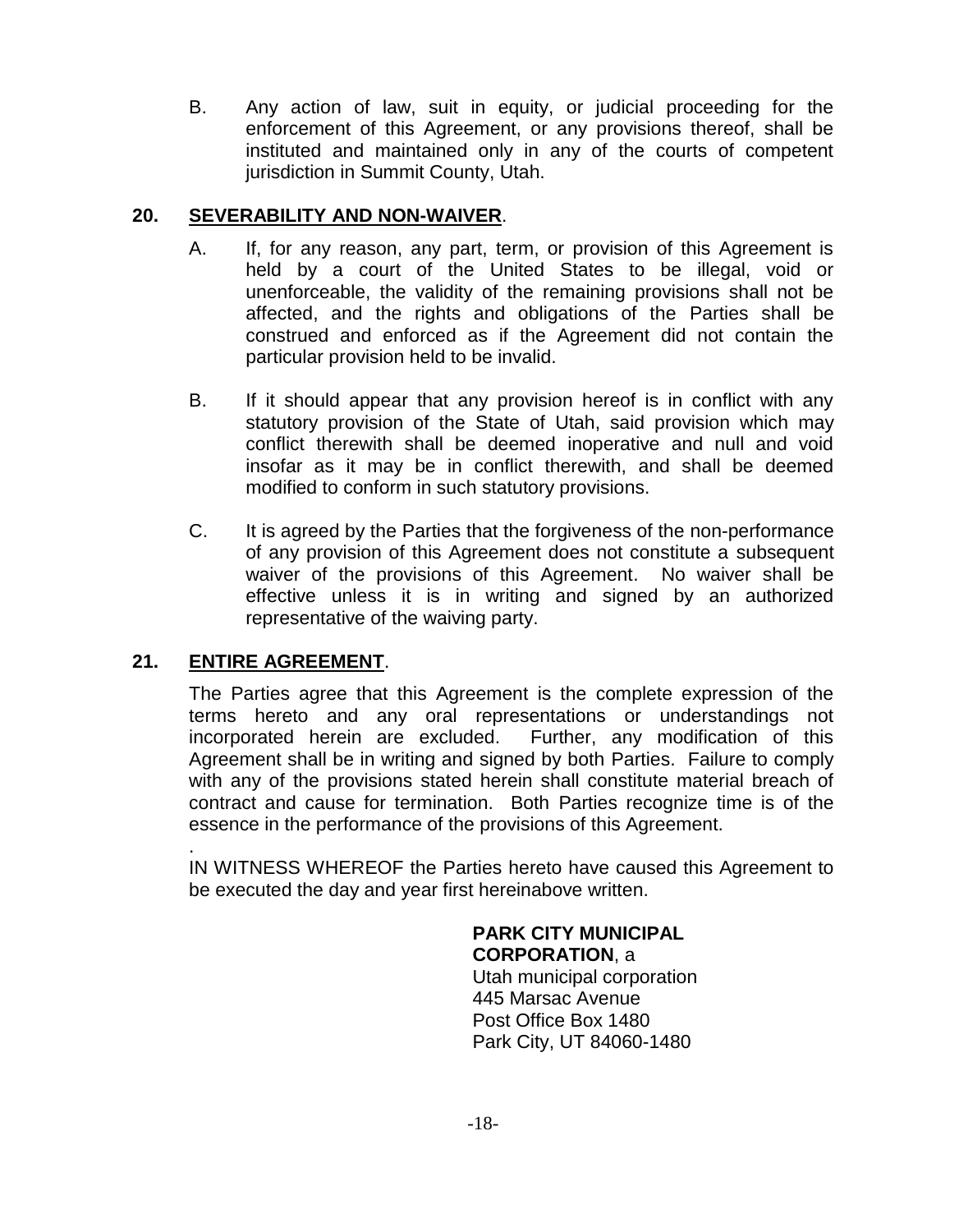B. Any action of law, suit in equity, or judicial proceeding for the enforcement of this Agreement, or any provisions thereof, shall be instituted and maintained only in any of the courts of competent jurisdiction in Summit County, Utah.

## **20. SEVERABILITY AND NON-WAIVER**.

- A. If, for any reason, any part, term, or provision of this Agreement is held by a court of the United States to be illegal, void or unenforceable, the validity of the remaining provisions shall not be affected, and the rights and obligations of the Parties shall be construed and enforced as if the Agreement did not contain the particular provision held to be invalid.
- B. If it should appear that any provision hereof is in conflict with any statutory provision of the State of Utah, said provision which may conflict therewith shall be deemed inoperative and null and void insofar as it may be in conflict therewith, and shall be deemed modified to conform in such statutory provisions.
- C. It is agreed by the Parties that the forgiveness of the non-performance of any provision of this Agreement does not constitute a subsequent waiver of the provisions of this Agreement. No waiver shall be effective unless it is in writing and signed by an authorized representative of the waiving party.

# **21. ENTIRE AGREEMENT**.

The Parties agree that this Agreement is the complete expression of the terms hereto and any oral representations or understandings not incorporated herein are excluded. Further, any modification of this Agreement shall be in writing and signed by both Parties. Failure to comply with any of the provisions stated herein shall constitute material breach of contract and cause for termination. Both Parties recognize time is of the essence in the performance of the provisions of this Agreement.

. IN WITNESS WHEREOF the Parties hereto have caused this Agreement to be executed the day and year first hereinabove written.

#### **PARK CITY MUNICIPAL CORPORATION**, a

Utah municipal corporation 445 Marsac Avenue Post Office Box 1480 Park City, UT 84060-1480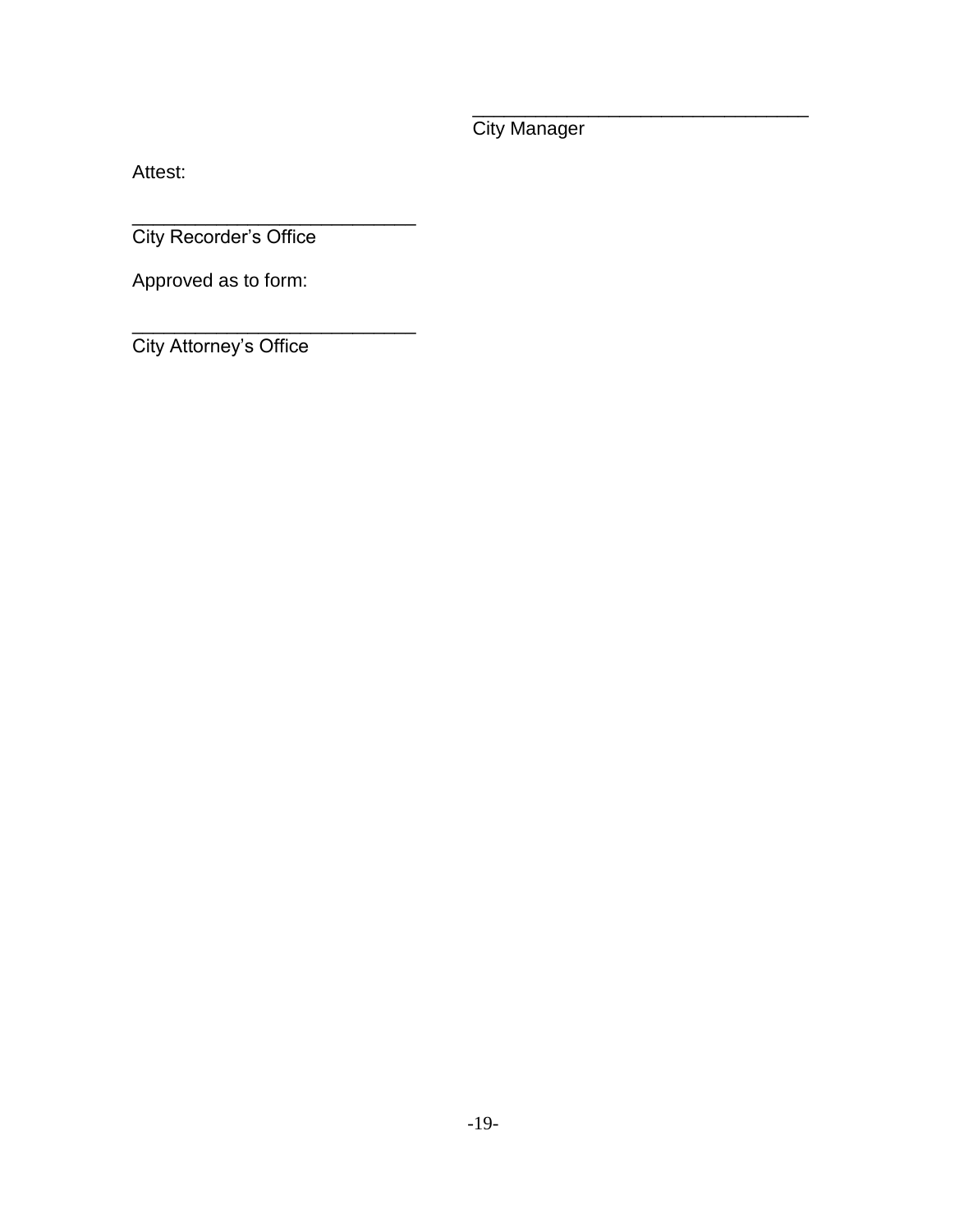City Manager

\_\_\_\_\_\_\_\_\_\_\_\_\_\_\_\_\_\_\_\_\_\_\_\_\_\_\_\_\_\_\_\_

Attest:

\_\_\_\_\_\_\_\_\_\_\_\_\_\_\_\_\_\_\_\_\_\_\_\_\_\_\_ City Recorder's Office

Approved as to form:

\_\_\_\_\_\_\_\_\_\_\_\_\_\_\_\_\_\_\_\_\_\_\_\_\_\_\_ City Attorney's Office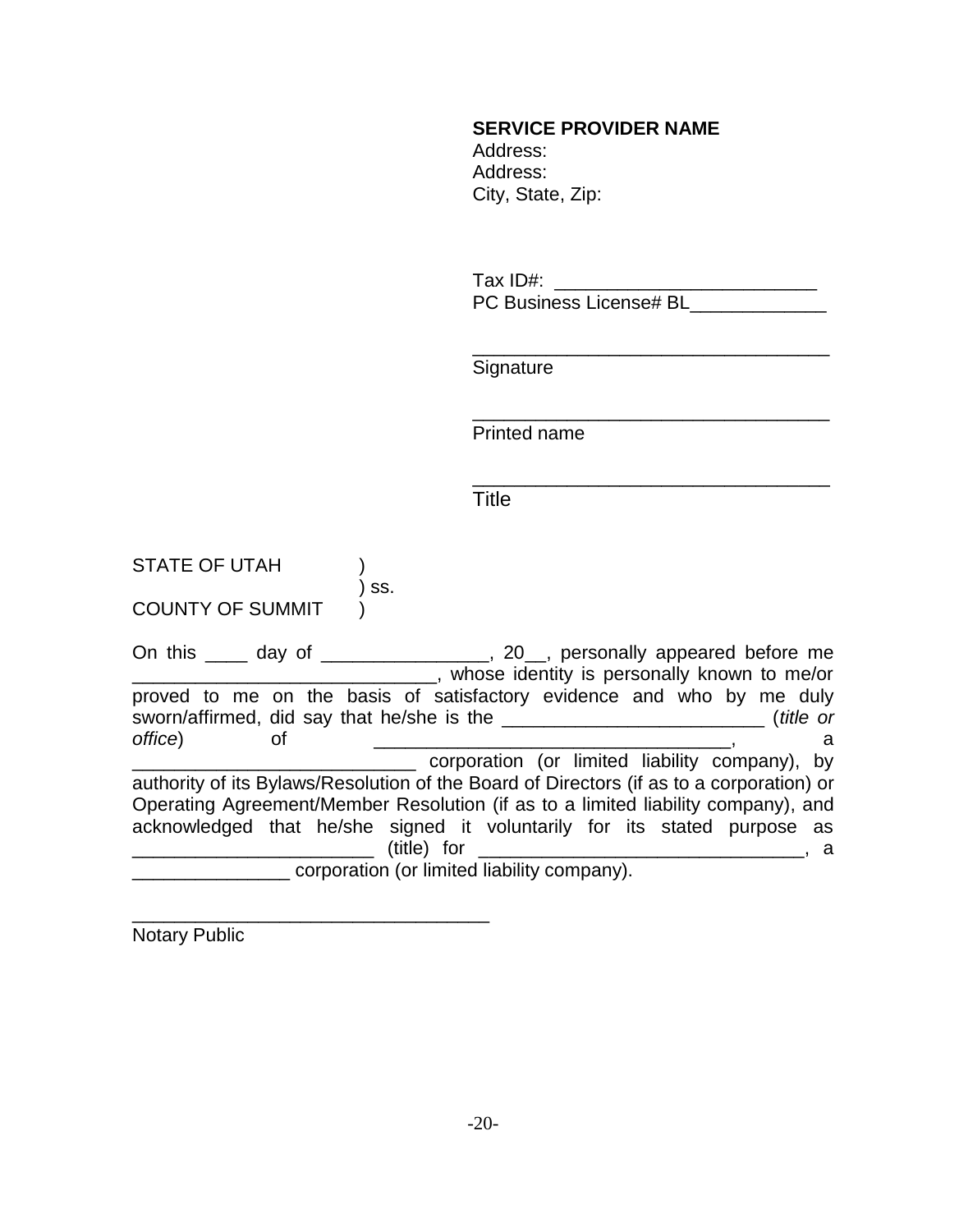#### **SERVICE PROVIDER NAME**

 Address: Address: City, State, Zip:

Tax ID#: \_\_\_\_\_\_\_\_\_\_\_\_\_\_\_\_\_\_\_\_\_\_\_\_\_ PC Business License# BL

\_\_\_\_\_\_\_\_\_\_\_\_\_\_\_\_\_\_\_\_\_\_\_\_\_\_\_\_\_\_\_\_\_\_

\_\_\_\_\_\_\_\_\_\_\_\_\_\_\_\_\_\_\_\_\_\_\_\_\_\_\_\_\_\_\_\_\_\_ **Signature** 

\_\_\_\_\_\_\_\_\_\_\_\_\_\_\_\_\_\_\_\_\_\_\_\_\_\_\_\_\_\_\_\_\_\_ Printed name

**Title** 

STATE OF UTAH (1) ) ss. COUNTY OF SUMMIT )

\_\_\_\_\_\_\_\_\_\_\_\_\_\_\_\_\_\_\_\_\_\_\_\_\_\_\_\_\_\_\_\_\_\_

On this \_\_\_\_ day of \_\_\_\_\_\_\_\_\_\_\_\_\_\_\_\_, 20\_\_, personally appeared before me \_\_\_\_\_\_\_\_\_\_\_\_\_\_\_\_\_\_\_\_\_\_\_\_\_\_\_\_\_, whose identity is personally known to me/or proved to me on the basis of satisfactory evidence and who by me duly sworn/affirmed, did say that he/she is the \_\_\_\_\_\_\_\_\_\_\_\_\_\_\_\_\_\_\_\_\_\_\_\_\_ (*title or office*) of \_\_\_\_\_\_\_\_\_\_\_\_\_\_\_\_\_\_\_\_\_\_\_\_\_\_\_\_\_\_\_\_\_\_, a \_\_\_\_\_\_\_\_\_\_\_\_\_\_\_\_\_\_\_\_\_\_\_\_\_\_\_ corporation (or limited liability company), by authority of its Bylaws/Resolution of the Board of Directors (if as to a corporation) or Operating Agreement/Member Resolution (if as to a limited liability company), and acknowledged that he/she signed it voluntarily for its stated purpose as \_\_\_\_\_\_\_\_\_\_\_\_\_\_\_\_\_\_\_\_\_\_\_ (title) for \_\_\_\_\_\_\_\_\_\_\_\_\_\_\_\_\_\_\_\_\_\_\_\_\_\_\_\_\_\_\_, a \_\_\_\_\_\_\_\_\_\_\_\_\_\_\_ corporation (or limited liability company).

Notary Public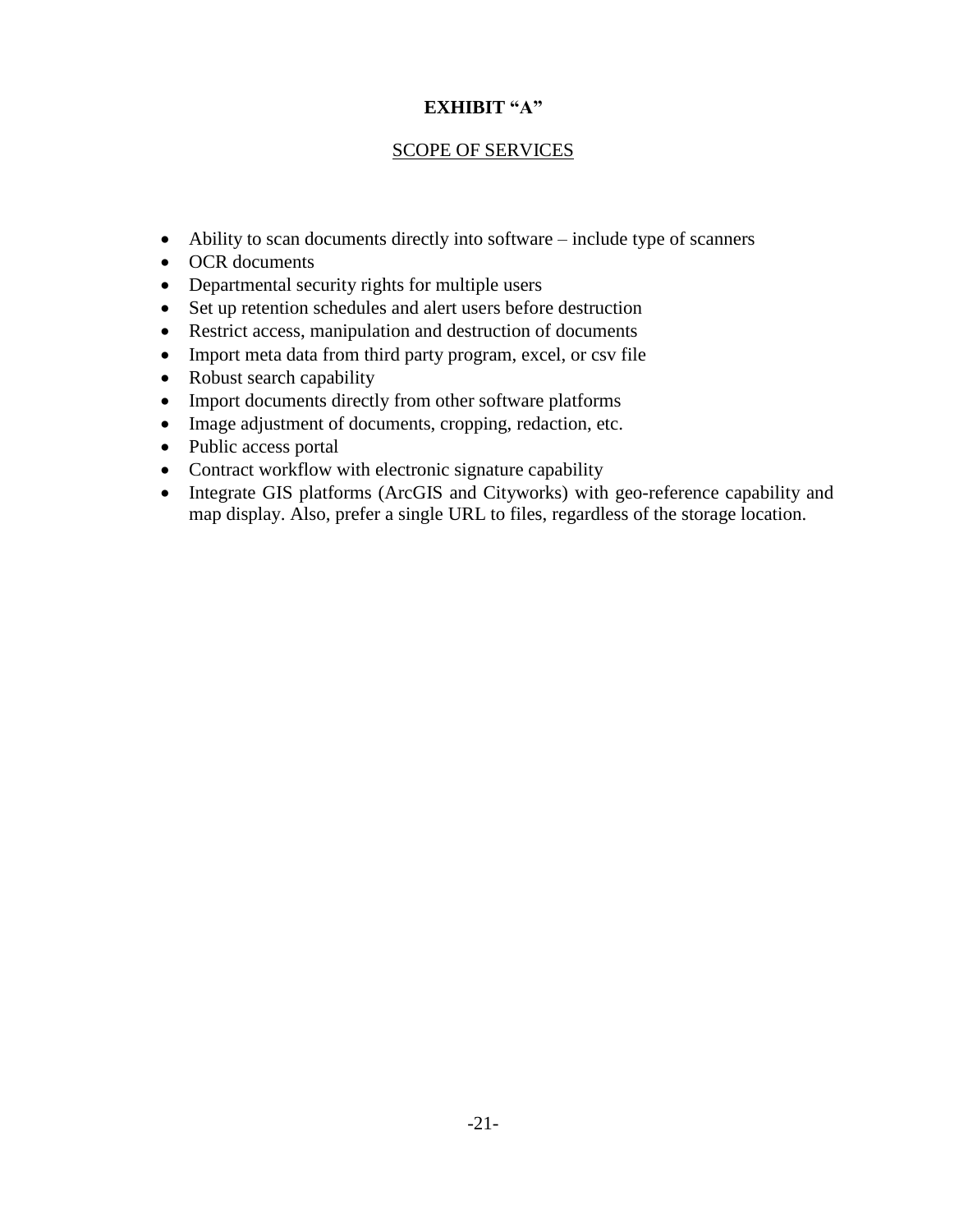# **EXHIBIT "A"**

# SCOPE OF SERVICES

- Ability to scan documents directly into software include type of scanners
- OCR documents
- Departmental security rights for multiple users
- Set up retention schedules and alert users before destruction
- Restrict access, manipulation and destruction of documents
- Import meta data from third party program, excel, or csv file
- Robust search capability
- Import documents directly from other software platforms
- Image adjustment of documents, cropping, redaction, etc.
- Public access portal
- Contract workflow with electronic signature capability
- Integrate GIS platforms (ArcGIS and Cityworks) with geo-reference capability and map display. Also, prefer a single URL to files, regardless of the storage location.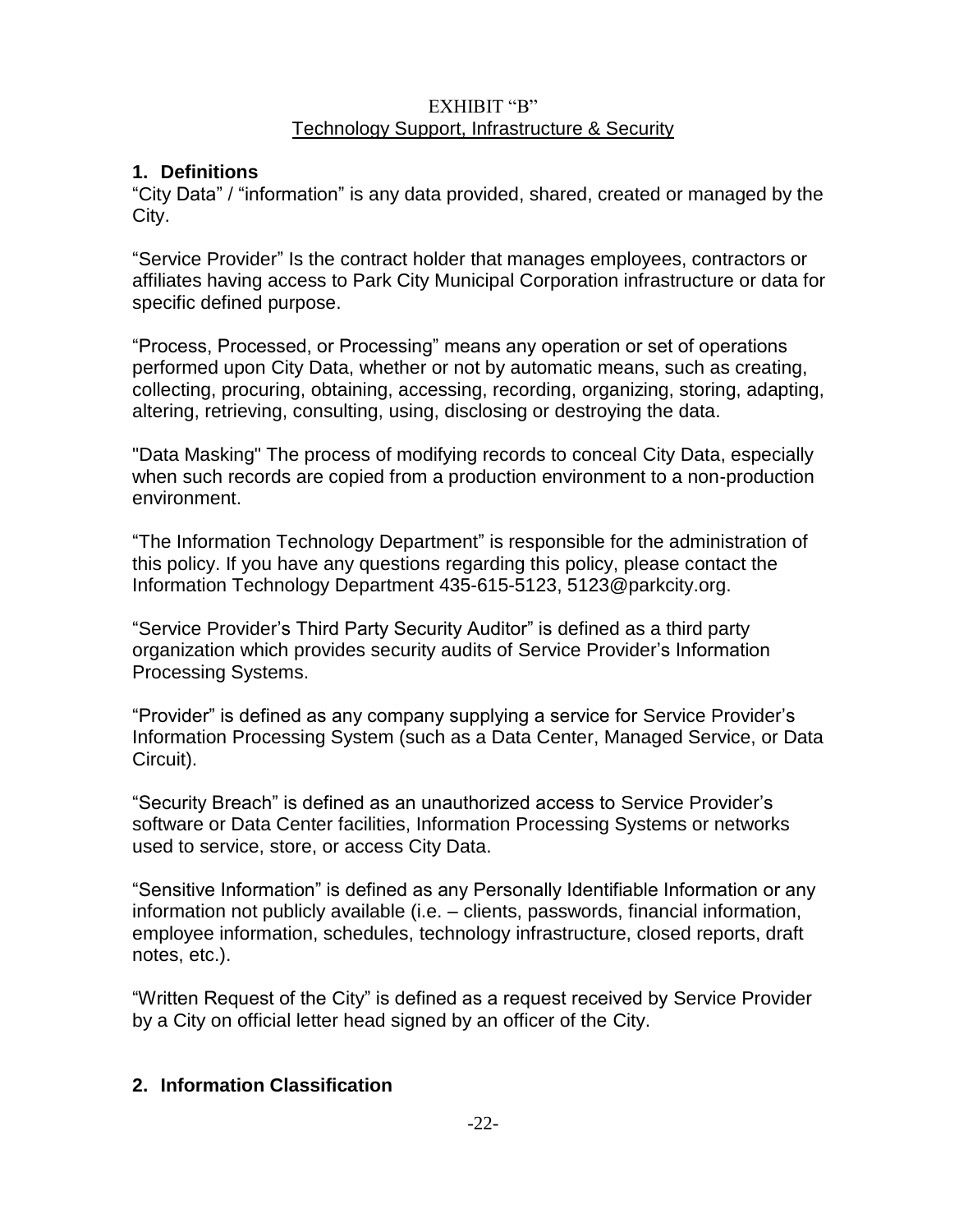### EXHIBIT "B" Technology Support, Infrastructure & Security

# **1. Definitions**

"City Data" / "information" is any data provided, shared, created or managed by the City.

"Service Provider" Is the contract holder that manages employees, contractors or affiliates having access to Park City Municipal Corporation infrastructure or data for specific defined purpose.

"Process, Processed, or Processing" means any operation or set of operations performed upon City Data, whether or not by automatic means, such as creating, collecting, procuring, obtaining, accessing, recording, organizing, storing, adapting, altering, retrieving, consulting, using, disclosing or destroying the data.

"Data Masking" The process of modifying records to conceal City Data, especially when such records are copied from a production environment to a non-production environment.

"The Information Technology Department" is responsible for the administration of this policy. If you have any questions regarding this policy, please contact the Information Technology Department 435-615-5123, 5123@parkcity.org.

"Service Provider's Third Party Security Auditor" is defined as a third party organization which provides security audits of Service Provider's Information Processing Systems.

"Provider" is defined as any company supplying a service for Service Provider's Information Processing System (such as a Data Center, Managed Service, or Data Circuit).

"Security Breach" is defined as an unauthorized access to Service Provider's software or Data Center facilities, Information Processing Systems or networks used to service, store, or access City Data.

"Sensitive Information" is defined as any Personally Identifiable Information or any information not publicly available (i.e. – clients, passwords, financial information, employee information, schedules, technology infrastructure, closed reports, draft notes, etc.).

"Written Request of the City" is defined as a request received by Service Provider by a City on official letter head signed by an officer of the City.

# **2. Information Classification**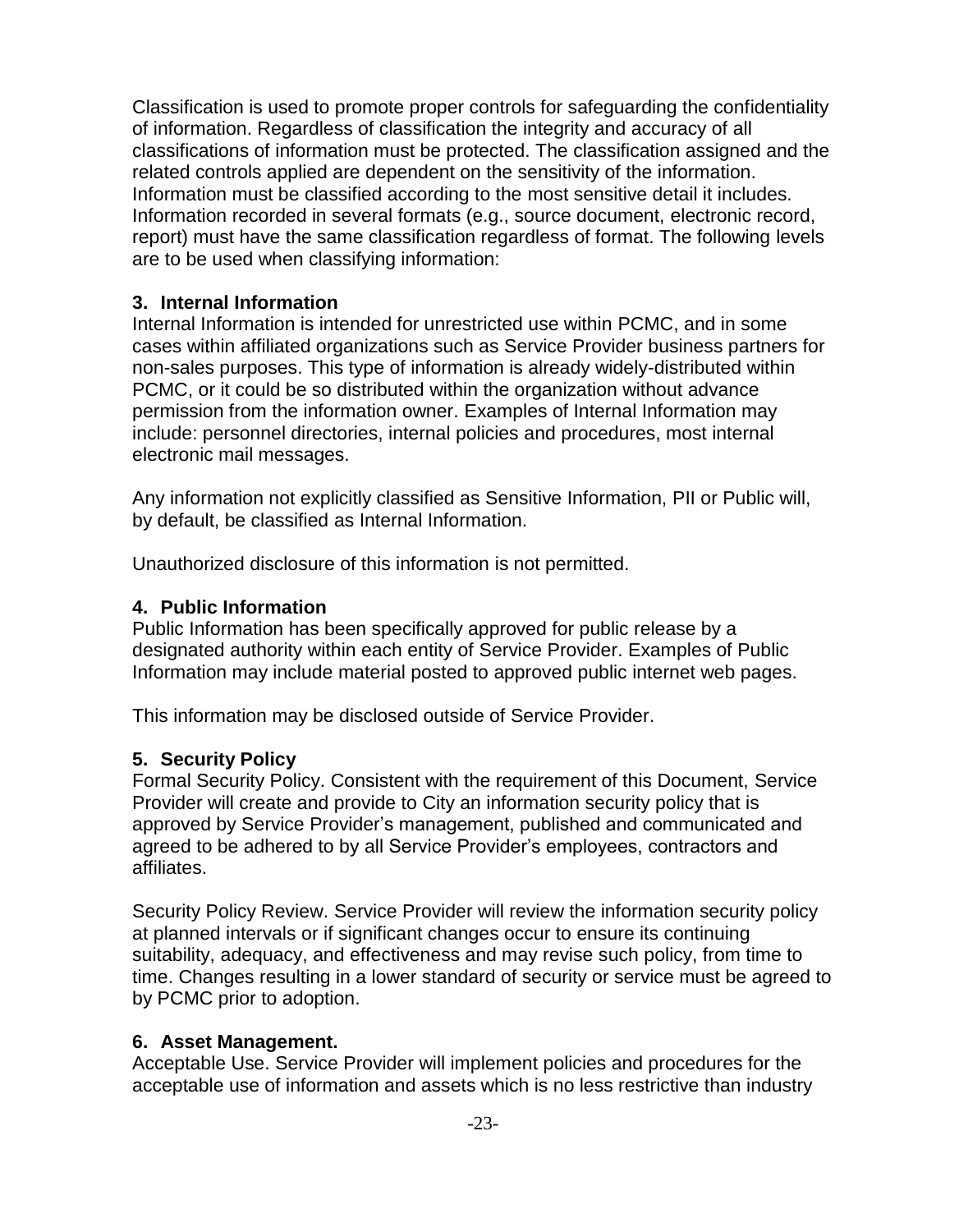Classification is used to promote proper controls for safeguarding the confidentiality of information. Regardless of classification the integrity and accuracy of all classifications of information must be protected. The classification assigned and the related controls applied are dependent on the sensitivity of the information. Information must be classified according to the most sensitive detail it includes. Information recorded in several formats (e.g., source document, electronic record, report) must have the same classification regardless of format. The following levels are to be used when classifying information:

### **3. Internal Information**

Internal Information is intended for unrestricted use within PCMC, and in some cases within affiliated organizations such as Service Provider business partners for non-sales purposes. This type of information is already widely-distributed within PCMC, or it could be so distributed within the organization without advance permission from the information owner. Examples of Internal Information may include: personnel directories, internal policies and procedures, most internal electronic mail messages.

Any information not explicitly classified as Sensitive Information, PII or Public will, by default, be classified as Internal Information.

Unauthorized disclosure of this information is not permitted.

### **4. Public Information**

Public Information has been specifically approved for public release by a designated authority within each entity of Service Provider. Examples of Public Information may include material posted to approved public internet web pages.

This information may be disclosed outside of Service Provider.

# **5. Security Policy**

Formal Security Policy. Consistent with the requirement of this Document, Service Provider will create and provide to City an information security policy that is approved by Service Provider's management, published and communicated and agreed to be adhered to by all Service Provider's employees, contractors and affiliates.

Security Policy Review. Service Provider will review the information security policy at planned intervals or if significant changes occur to ensure its continuing suitability, adequacy, and effectiveness and may revise such policy, from time to time. Changes resulting in a lower standard of security or service must be agreed to by PCMC prior to adoption.

# **6. Asset Management.**

Acceptable Use. Service Provider will implement policies and procedures for the acceptable use of information and assets which is no less restrictive than industry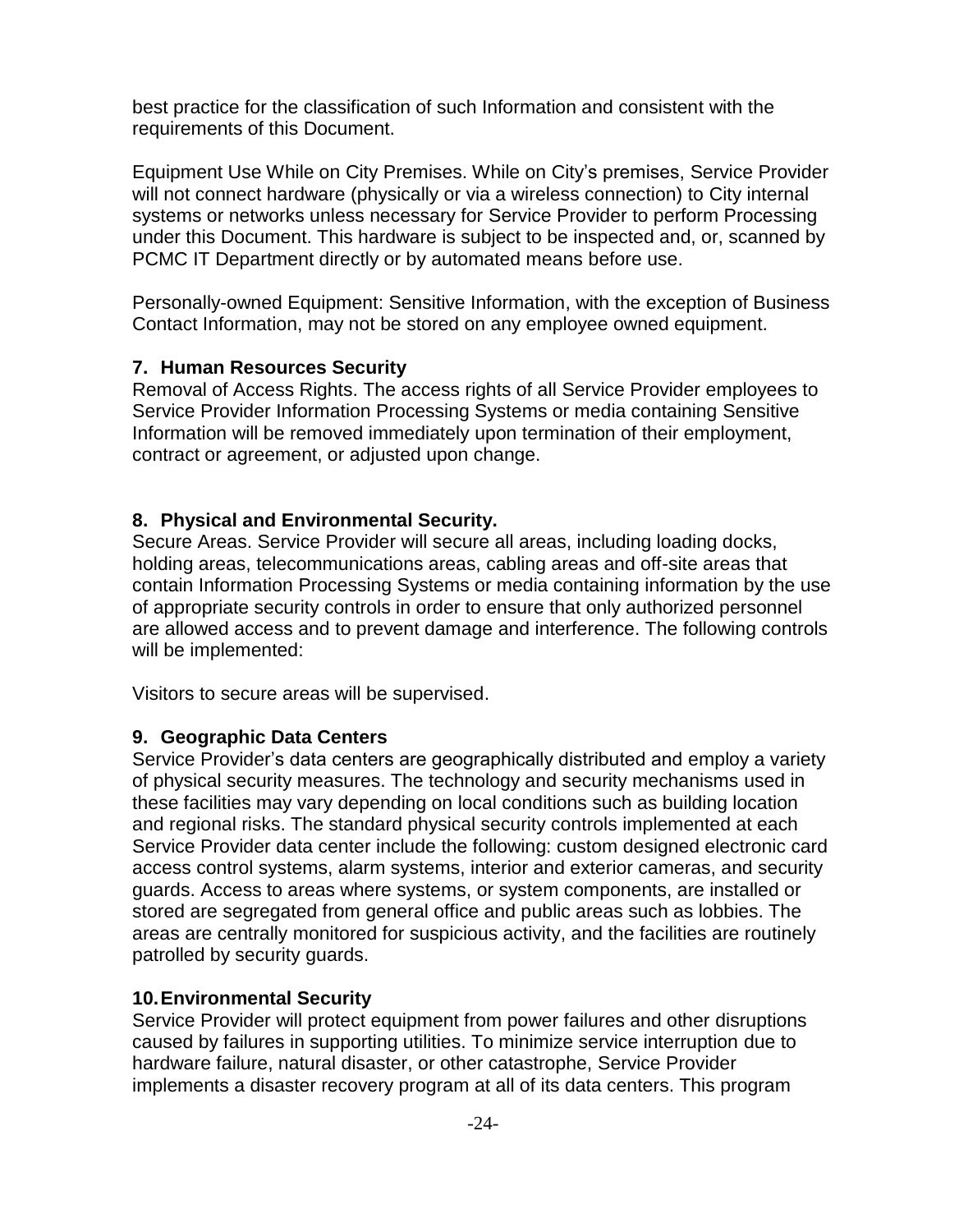best practice for the classification of such Information and consistent with the requirements of this Document.

Equipment Use While on City Premises. While on City's premises, Service Provider will not connect hardware (physically or via a wireless connection) to City internal systems or networks unless necessary for Service Provider to perform Processing under this Document. This hardware is subject to be inspected and, or, scanned by PCMC IT Department directly or by automated means before use.

Personally-owned Equipment: Sensitive Information, with the exception of Business Contact Information, may not be stored on any employee owned equipment.

# **7. Human Resources Security**

Removal of Access Rights. The access rights of all Service Provider employees to Service Provider Information Processing Systems or media containing Sensitive Information will be removed immediately upon termination of their employment, contract or agreement, or adjusted upon change.

### **8. Physical and Environmental Security.**

Secure Areas. Service Provider will secure all areas, including loading docks, holding areas, telecommunications areas, cabling areas and off-site areas that contain Information Processing Systems or media containing information by the use of appropriate security controls in order to ensure that only authorized personnel are allowed access and to prevent damage and interference. The following controls will be implemented:

Visitors to secure areas will be supervised.

### **9. Geographic Data Centers**

Service Provider's data centers are geographically distributed and employ a variety of physical security measures. The technology and security mechanisms used in these facilities may vary depending on local conditions such as building location and regional risks. The standard physical security controls implemented at each Service Provider data center include the following: custom designed electronic card access control systems, alarm systems, interior and exterior cameras, and security guards. Access to areas where systems, or system components, are installed or stored are segregated from general office and public areas such as lobbies. The areas are centrally monitored for suspicious activity, and the facilities are routinely patrolled by security guards.

### **10.Environmental Security**

Service Provider will protect equipment from power failures and other disruptions caused by failures in supporting utilities. To minimize service interruption due to hardware failure, natural disaster, or other catastrophe, Service Provider implements a disaster recovery program at all of its data centers. This program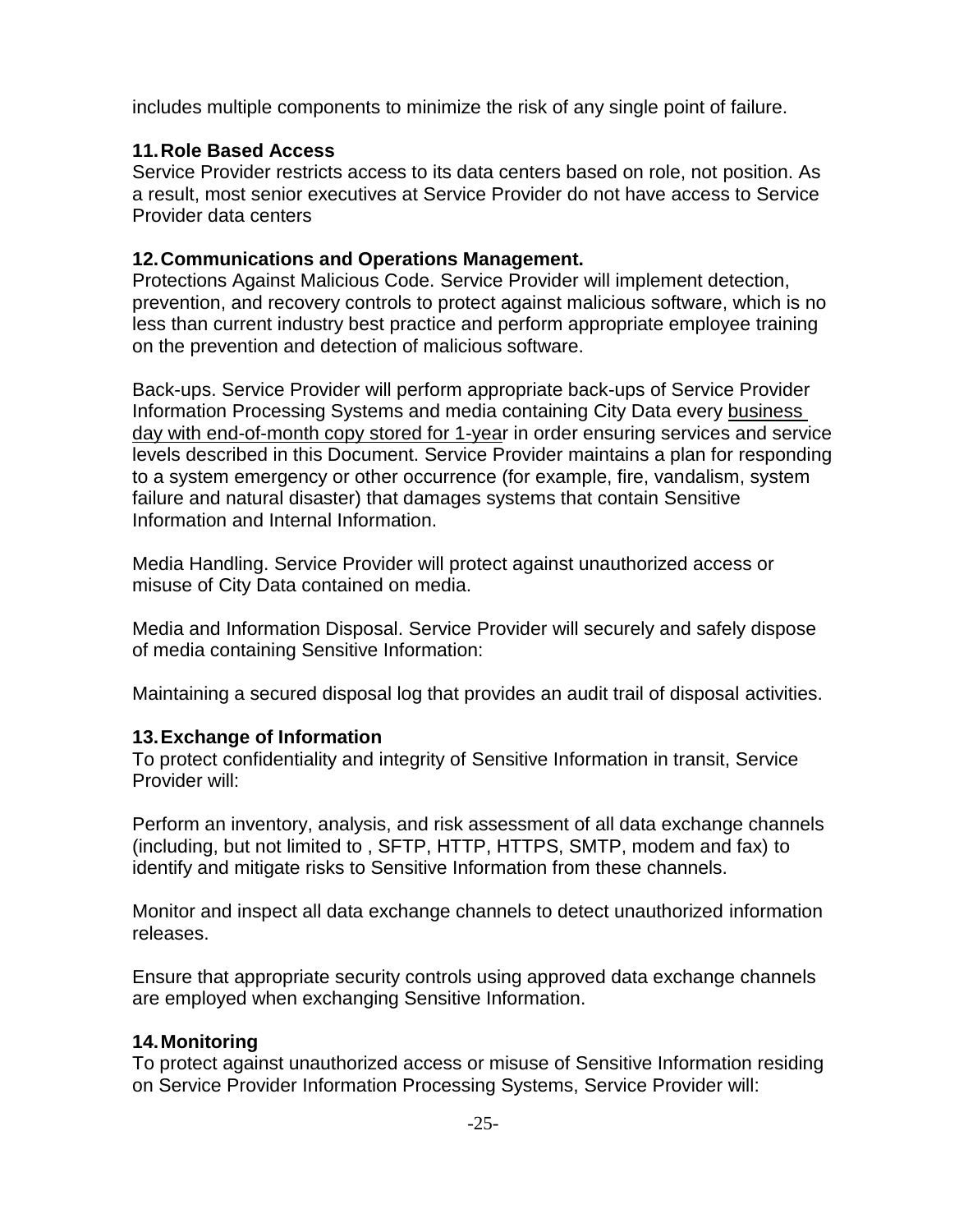includes multiple components to minimize the risk of any single point of failure.

# **11.Role Based Access**

Service Provider restricts access to its data centers based on role, not position. As a result, most senior executives at Service Provider do not have access to Service Provider data centers

# **12.Communications and Operations Management.**

Protections Against Malicious Code. Service Provider will implement detection, prevention, and recovery controls to protect against malicious software, which is no less than current industry best practice and perform appropriate employee training on the prevention and detection of malicious software.

Back-ups. Service Provider will perform appropriate back-ups of Service Provider Information Processing Systems and media containing City Data every business day with end-of-month copy stored for 1-year in order ensuring services and service levels described in this Document. Service Provider maintains a plan for responding to a system emergency or other occurrence (for example, fire, vandalism, system failure and natural disaster) that damages systems that contain Sensitive Information and Internal Information.

Media Handling. Service Provider will protect against unauthorized access or misuse of City Data contained on media.

Media and Information Disposal. Service Provider will securely and safely dispose of media containing Sensitive Information:

Maintaining a secured disposal log that provides an audit trail of disposal activities.

# **13.Exchange of Information**

To protect confidentiality and integrity of Sensitive Information in transit, Service Provider will:

Perform an inventory, analysis, and risk assessment of all data exchange channels (including, but not limited to , SFTP, HTTP, HTTPS, SMTP, modem and fax) to identify and mitigate risks to Sensitive Information from these channels.

Monitor and inspect all data exchange channels to detect unauthorized information releases.

Ensure that appropriate security controls using approved data exchange channels are employed when exchanging Sensitive Information.

### **14.Monitoring**

To protect against unauthorized access or misuse of Sensitive Information residing on Service Provider Information Processing Systems, Service Provider will: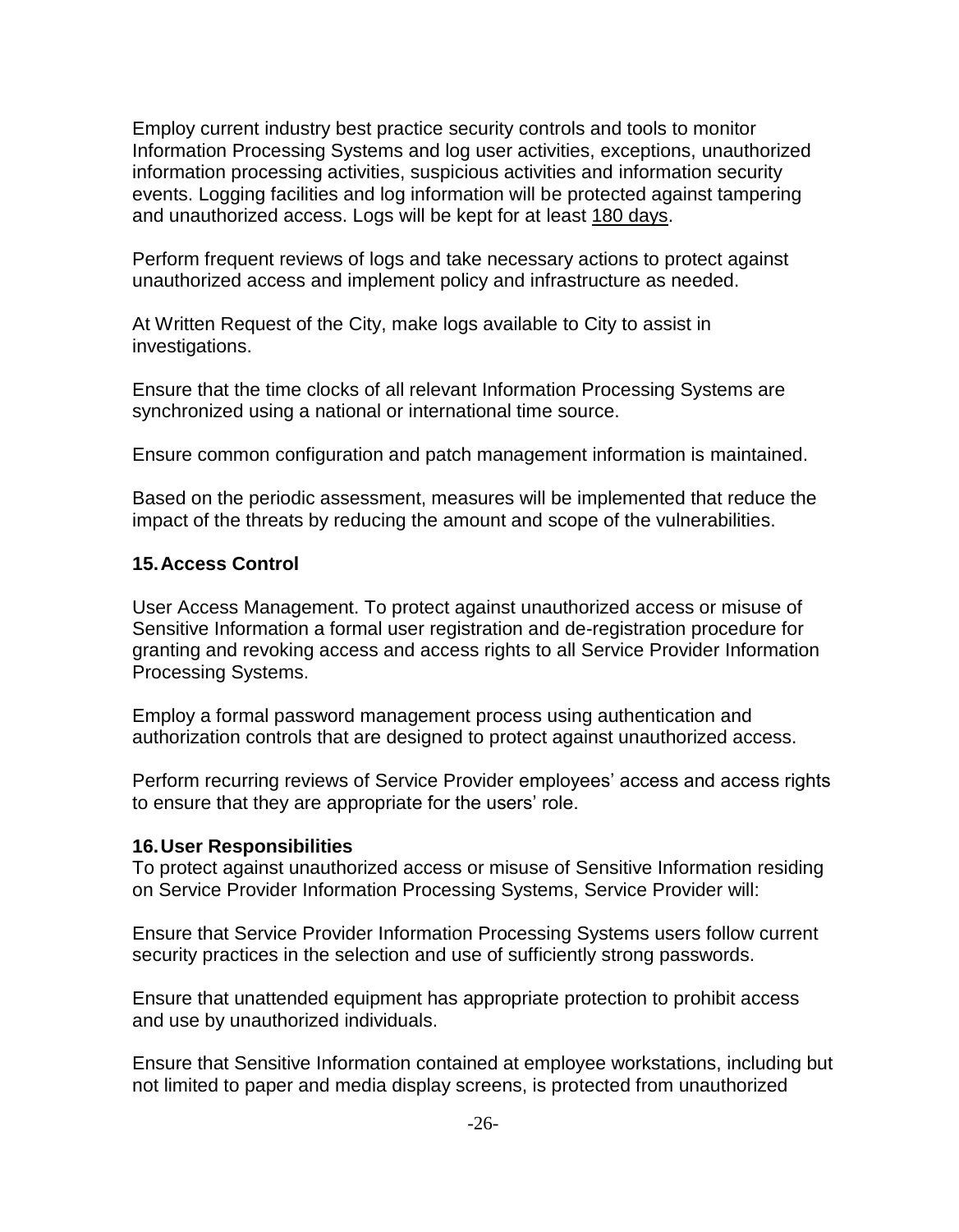Employ current industry best practice security controls and tools to monitor Information Processing Systems and log user activities, exceptions, unauthorized information processing activities, suspicious activities and information security events. Logging facilities and log information will be protected against tampering and unauthorized access. Logs will be kept for at least 180 days.

Perform frequent reviews of logs and take necessary actions to protect against unauthorized access and implement policy and infrastructure as needed.

At Written Request of the City, make logs available to City to assist in investigations.

Ensure that the time clocks of all relevant Information Processing Systems are synchronized using a national or international time source.

Ensure common configuration and patch management information is maintained.

Based on the periodic assessment, measures will be implemented that reduce the impact of the threats by reducing the amount and scope of the vulnerabilities.

# **15.Access Control**

User Access Management. To protect against unauthorized access or misuse of Sensitive Information a formal user registration and de-registration procedure for granting and revoking access and access rights to all Service Provider Information Processing Systems.

Employ a formal password management process using authentication and authorization controls that are designed to protect against unauthorized access.

Perform recurring reviews of Service Provider employees' access and access rights to ensure that they are appropriate for the users' role.

# **16.User Responsibilities**

To protect against unauthorized access or misuse of Sensitive Information residing on Service Provider Information Processing Systems, Service Provider will:

Ensure that Service Provider Information Processing Systems users follow current security practices in the selection and use of sufficiently strong passwords.

Ensure that unattended equipment has appropriate protection to prohibit access and use by unauthorized individuals.

Ensure that Sensitive Information contained at employee workstations, including but not limited to paper and media display screens, is protected from unauthorized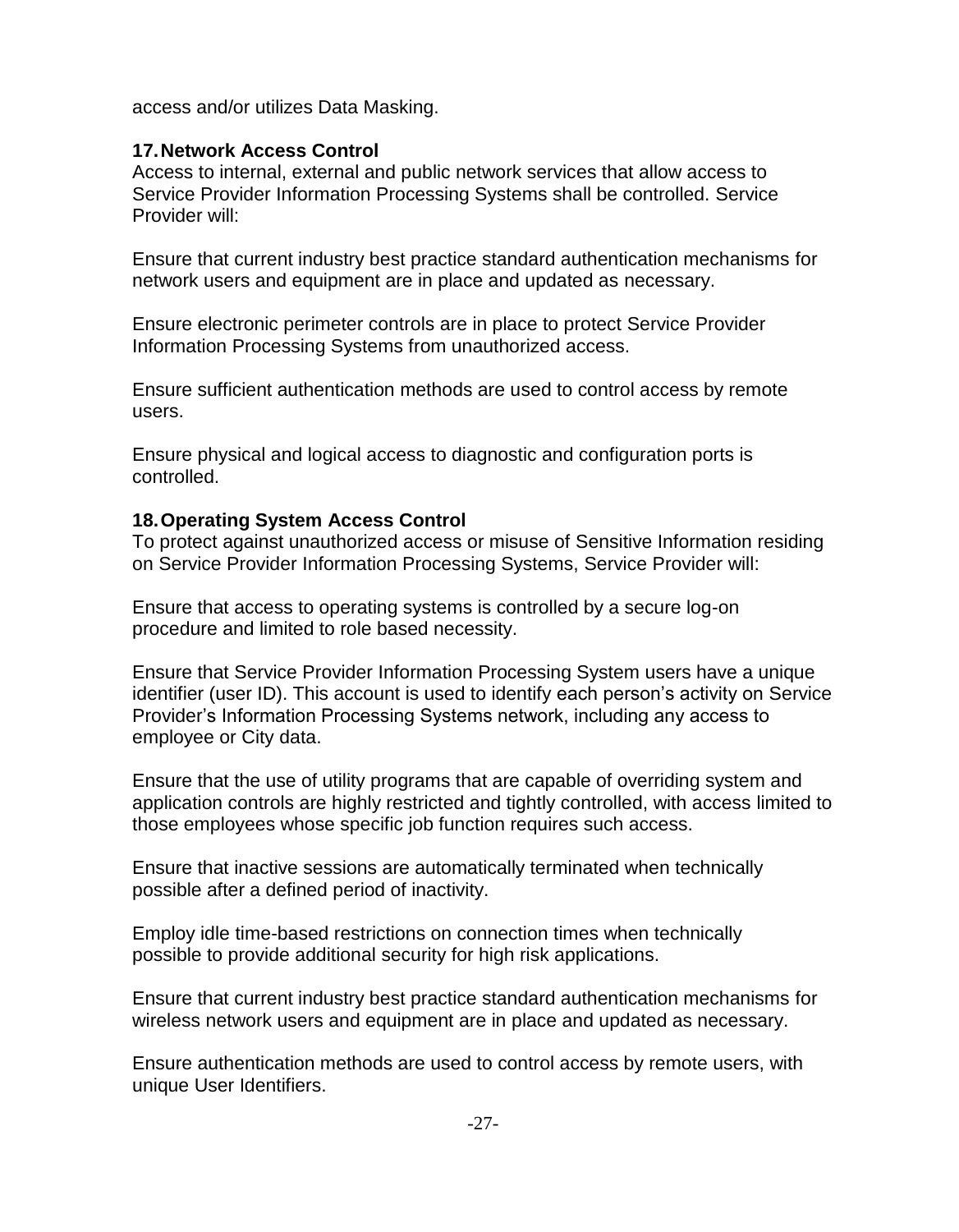access and/or utilizes Data Masking.

### **17.Network Access Control**

Access to internal, external and public network services that allow access to Service Provider Information Processing Systems shall be controlled. Service Provider will:

Ensure that current industry best practice standard authentication mechanisms for network users and equipment are in place and updated as necessary.

Ensure electronic perimeter controls are in place to protect Service Provider Information Processing Systems from unauthorized access.

Ensure sufficient authentication methods are used to control access by remote users.

Ensure physical and logical access to diagnostic and configuration ports is controlled.

### **18.Operating System Access Control**

To protect against unauthorized access or misuse of Sensitive Information residing on Service Provider Information Processing Systems, Service Provider will:

Ensure that access to operating systems is controlled by a secure log-on procedure and limited to role based necessity.

Ensure that Service Provider Information Processing System users have a unique identifier (user ID). This account is used to identify each person's activity on Service Provider's Information Processing Systems network, including any access to employee or City data.

Ensure that the use of utility programs that are capable of overriding system and application controls are highly restricted and tightly controlled, with access limited to those employees whose specific job function requires such access.

Ensure that inactive sessions are automatically terminated when technically possible after a defined period of inactivity.

Employ idle time-based restrictions on connection times when technically possible to provide additional security for high risk applications.

Ensure that current industry best practice standard authentication mechanisms for wireless network users and equipment are in place and updated as necessary.

Ensure authentication methods are used to control access by remote users, with unique User Identifiers.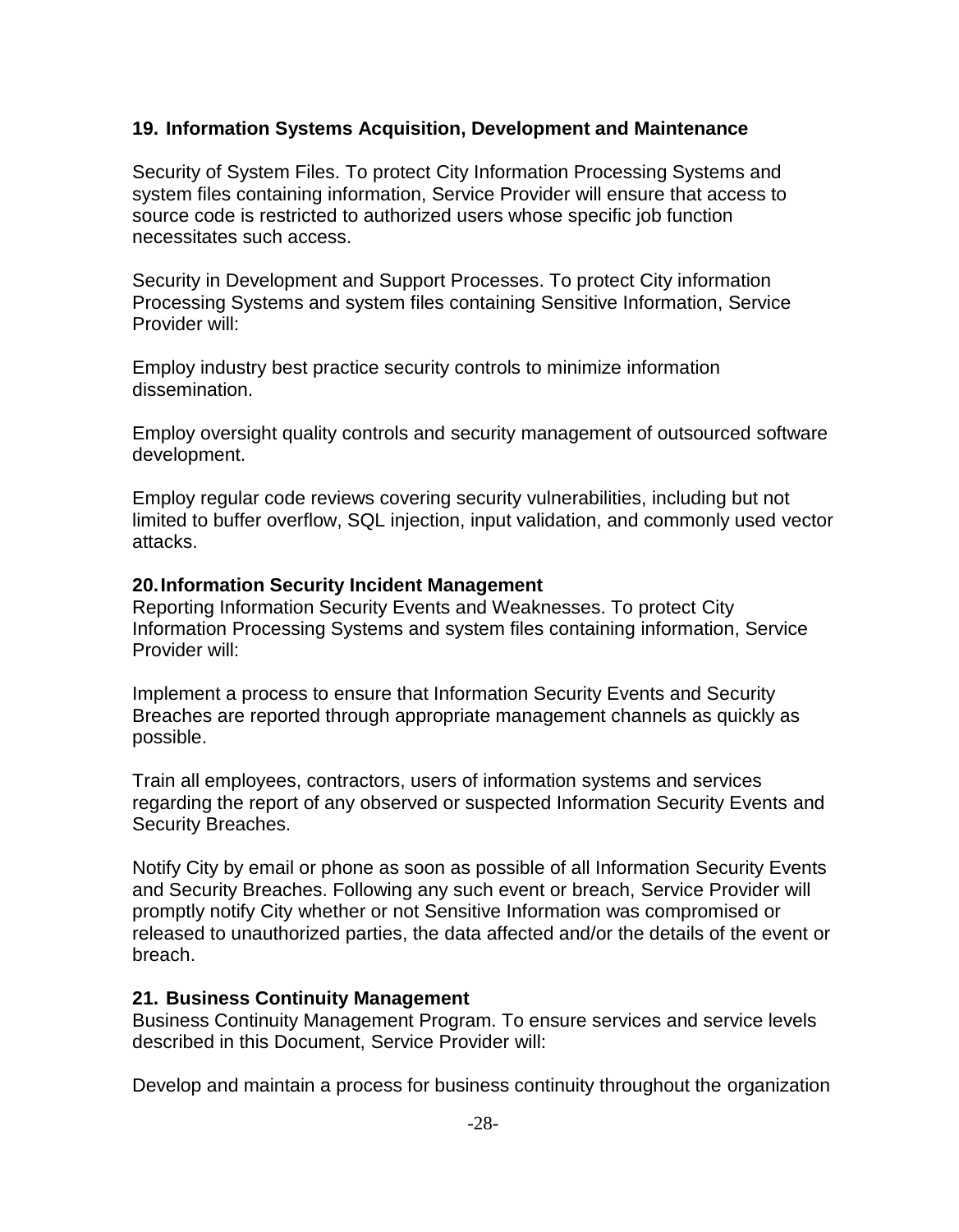### **19. Information Systems Acquisition, Development and Maintenance**

Security of System Files. To protect City Information Processing Systems and system files containing information, Service Provider will ensure that access to source code is restricted to authorized users whose specific job function necessitates such access.

Security in Development and Support Processes. To protect City information Processing Systems and system files containing Sensitive Information, Service Provider will:

Employ industry best practice security controls to minimize information dissemination.

Employ oversight quality controls and security management of outsourced software development.

Employ regular code reviews covering security vulnerabilities, including but not limited to buffer overflow, SQL injection, input validation, and commonly used vector attacks.

#### **20.Information Security Incident Management**

Reporting Information Security Events and Weaknesses. To protect City Information Processing Systems and system files containing information, Service Provider will:

Implement a process to ensure that Information Security Events and Security Breaches are reported through appropriate management channels as quickly as possible.

Train all employees, contractors, users of information systems and services regarding the report of any observed or suspected Information Security Events and Security Breaches.

Notify City by email or phone as soon as possible of all Information Security Events and Security Breaches. Following any such event or breach, Service Provider will promptly notify City whether or not Sensitive Information was compromised or released to unauthorized parties, the data affected and/or the details of the event or breach.

### **21. Business Continuity Management**

Business Continuity Management Program. To ensure services and service levels described in this Document, Service Provider will:

Develop and maintain a process for business continuity throughout the organization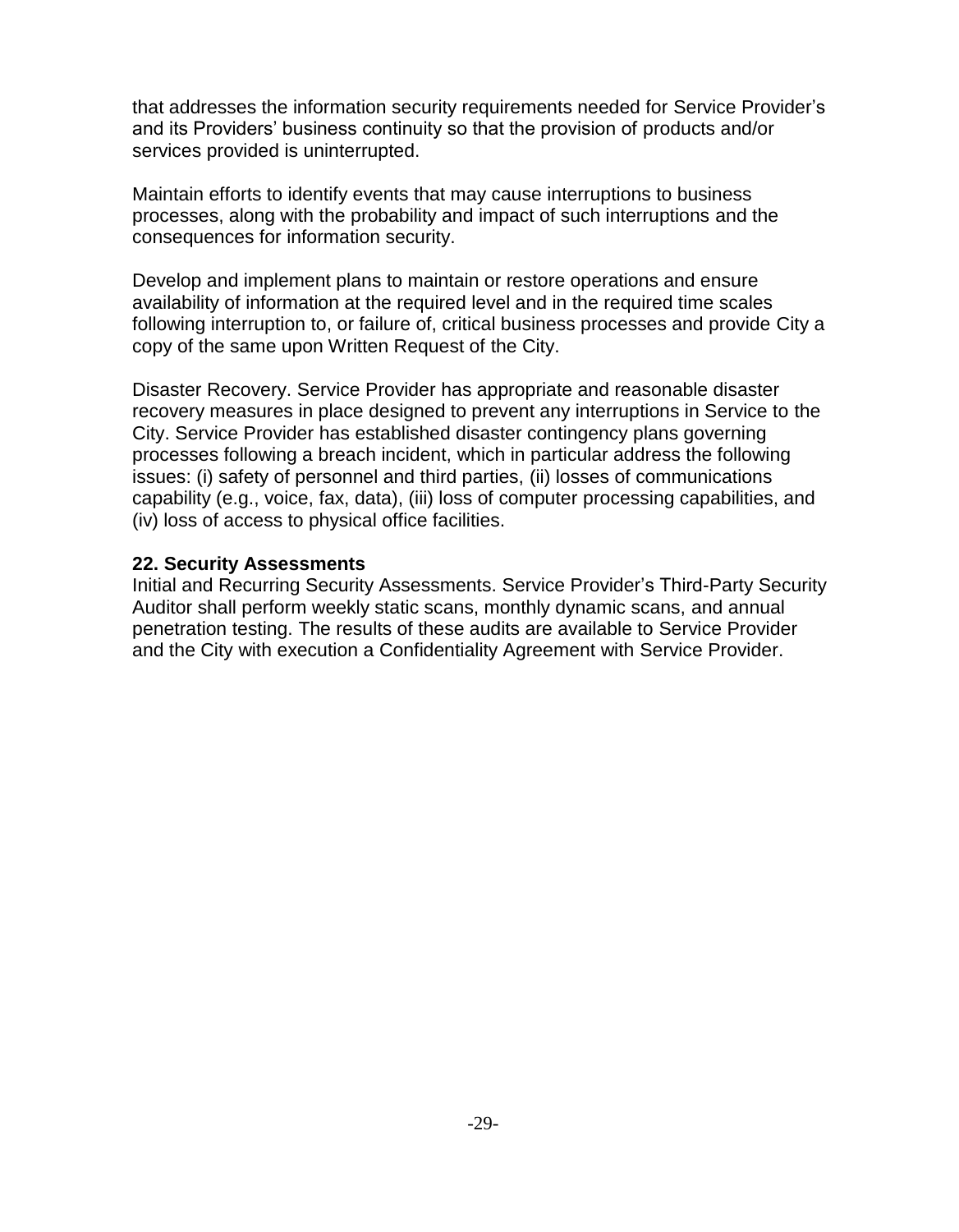that addresses the information security requirements needed for Service Provider's and its Providers' business continuity so that the provision of products and/or services provided is uninterrupted.

Maintain efforts to identify events that may cause interruptions to business processes, along with the probability and impact of such interruptions and the consequences for information security.

Develop and implement plans to maintain or restore operations and ensure availability of information at the required level and in the required time scales following interruption to, or failure of, critical business processes and provide City a copy of the same upon Written Request of the City.

Disaster Recovery. Service Provider has appropriate and reasonable disaster recovery measures in place designed to prevent any interruptions in Service to the City. Service Provider has established disaster contingency plans governing processes following a breach incident, which in particular address the following issues: (i) safety of personnel and third parties, (ii) losses of communications capability (e.g., voice, fax, data), (iii) loss of computer processing capabilities, and (iv) loss of access to physical office facilities.

### **22. Security Assessments**

Initial and Recurring Security Assessments. Service Provider's Third-Party Security Auditor shall perform weekly static scans, monthly dynamic scans, and annual penetration testing. The results of these audits are available to Service Provider and the City with execution a Confidentiality Agreement with Service Provider.